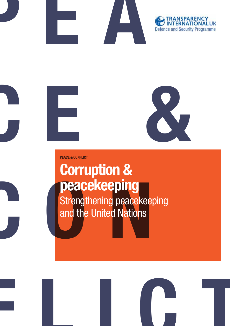





**Peace & CONFLICT**

# **consider the United Nations**<br> **consider the United Nations Corruption & peacekeeping** Strengthening peacekeeping and the United Nations

**flict**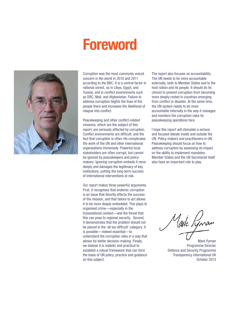# **Foreword**



Corruption was the most commonly voiced concern in the world in 2010 and 2011 according to the BBC. It is a central factor in national unrest, as in Libya, Egypt, and Tunisia, and in conflict environments such as DRC, Mali, and Afghanistan. Failure to address corruption blights the lives of the people there and increases the likelihood of relapse into conflict.

Peacekeeping and other conflict-related missions, which are the subject of this report, are seriously affected by corruption. Conflict environments are difficult, and the fact that corruption is often rife complicates the work of the UN and other international organisations immensely. Powerful local stakeholders are often corrupt, but cannot be ignored by peacekeepers and policymakers. Ignoring corruption embeds it more deeply and damages the legitimacy of key institutions, putting the long-term success of international interventions at risk.

Our report makes three powerful arguments. First, it recognises that endemic corruption is an issue that directly affects the success of the mission, and that failure to act allows it to be more deeply embedded. This plays to organised crime—especially in the transnational context—and the threat that this can pose to regional security. Second, it demonstrates that the problem should not be placed in the 'all too difficult' category. It is possible—indeed essential—to understand the corruption risks in a way that allows for better decision-making. Finally, we believe it is realistic and practical to establish a robust framework that can form the basis of UN policy, practice and guidance on this subject.

The report also focuses on accountability. The UN needs to be more accountable externally, both to Member States and to the host nation and its people. It should do its utmost to prevent corruption from becoming more deeply rooted in countries emerging from conflict or disaster. At the same time, the UN system needs to be more accountable internally in the way it manages and monitors the corruption risks its peacekeeping operations face.

I hope this report will stimulate a serious and focused debate inside and outside the UN. Policy-makers and practitioners in UN Peacekeeping should focus on how to address corruption by assessing its impact on the ability to implement mandates. Member States and the UN Secretariat itself also have an important role to play.

aik Lynan

Mark Pyman Programme Director Defence and Security Programme Transparency International UK October 2013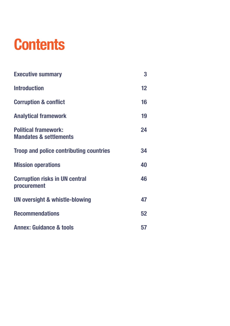# **Contents**

| <b>Executive summary</b>                                         | 3  |
|------------------------------------------------------------------|----|
| <b>Introduction</b>                                              | 12 |
| <b>Corruption &amp; conflict</b>                                 | 16 |
| <b>Analytical framework</b>                                      | 19 |
| <b>Political framework:</b><br><b>Mandates &amp; settlements</b> | 24 |
| <b>Troop and police contributing countries</b>                   | 34 |
| <b>Mission operations</b>                                        | 40 |
| <b>Corruption risks in UN central</b><br>procurement             | 46 |
| UN oversight & whistle-blowing                                   | 47 |
| <b>Recommendations</b>                                           | 52 |
| <b>Annex: Guidance &amp; tools</b>                               | 57 |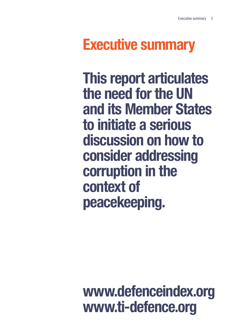# **Executive summary**

**This report articulates the need for the UN and its Member States to initiate a serious discussion on how to consider addressing corruption in the context of peacekeeping.**

## **www.defenceindex.org www.ti-defence.org**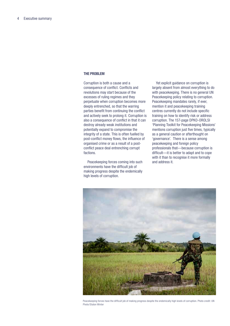#### **The problem**

Corruption is both a cause and a consequence of conflict. Conflicts and revolutions may start because of the excesses of ruling regimes and they perpetuate when corruption becomes more deeply entrenched, so that the warring parties benefit from continuing the conflict and actively seek to prolong it. Corruption is also a consequence of conflict in that it can destroy already weak institutions and potentially expand to compromise the integrity of a state. This is often fuelled by post-conflict money flows, the influence of organised crime or as a result of a postconflict peace deal entrenching corrupt factions.

Peacekeeping forces coming into such environments have the difficult job of making progress despite the endemically high levels of corruption.

Yet explicit guidance on corruption is largely absent from almost everything to do with peacekeeping. There is no general UN Peacekeeping policy relating to corruption. Peacekeeping mandates rarely, if ever, mention it and peacekeeping training centres currently do not include specific training on how to identify risk or address corruption. The 157-page DPKO-OROLSI 'Planning Toolkit for Peacekeeping Missions' mentions corruption just five times, typically as a general caution or afterthought on 'governance'. There is a sense among peacekeeping and foreign policy professionals that—because corruption is difficult—it is better to adapt and to cope with it than to recognise it more formally and address it.



Peacekeeping forces have the difficult job of making progress despite the endemically high levels of corruption. Photo credit: UN Photo/Staton Winter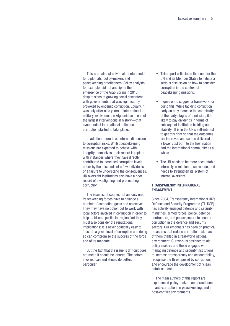This is an almost universal mental model for diplomats, policy-makers and peacekeeping practitioners. Policy analysts, for example, did not anticipate the emergence of the Arab Spring in 2010, despite signs of growing social discontent with governments that was significantly provoked by endemic corruption. Equally, it was only after nine years of international military involvement in Afghanistan—one of the largest interventions in history—that even modest international action on corruption started to take place.

In addition, there is an internal dimension to corruption risks. Whilst peacekeeping missions are expected to behave with integrity themselves, their record is replete with instances where they have directly contributed to increased corruption levels either by the misdeeds of a few individuals or a failure to understand the consequences. UN oversight institutions also have a poor record of investigating and prosecuting corruption.

The issue is, of course, not an easy one. Peacekeeping forces have to balance a number of competing goals and objectives. They may have no option but to work with local actors involved in corruption in order to help stabilise a particular region. Yet they must also consider the reputational implications; it is never politically easy to 'accept' a given level of corruption and doing so can compromise the success of the force and of its mandate.

But the fact that the issue is difficult does not mean it should be ignored. The actors involved can and should do better. In particular:

- This report articulates the need for the UN and its Member States to initiate a serious discussion on how to consider corruption in the context of peacekeeping missions.
- It goes on to suggest a framework for doing this. While tackling corruption early on may increase the complexity of the early stages of a mission, it is likely to pay dividends in terms of subsequent institution building and stability. It is in the UN's self-interest to get this right so that the outcomes are improved and can be delivered at a lower cost both to the host nation and the international community as a whole.
- The UN needs to be more accountable internally in relation to corruption, and needs to strengthen its system of internal oversight.

#### **Transparency International engagement**

Since 2004, Transparency International UK's Defence and Security Programme (TI- DSP) has actively engaged defence and security ministries, armed forces, police, defence contractors, and peacekeepers to counter corruption in the defence and security sectors. Our emphasis has been on practical measures that reduce corruption risk, each of them trialled in a real-world national environment. Our work is designed to aid policy-makers and those engaged with managing defence and security institutions to increase transparency and accountability, recognise the threat posed by corruption, and encourage the development of 'clean' establishments.

The main authors of this report are experienced policy-makers and practitioners in anti-corruption, in peacekeeping, and in post-conflict environments.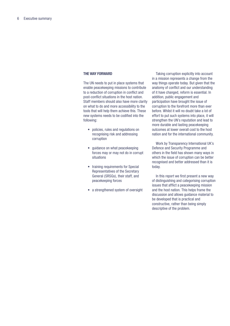#### **The way forward**

The UN needs to put in place systems that enable peacekeeping missions to contribute to a reduction of corruption in conflict and post-conflict situations in the host nation. Staff members should also have more clarity on what to do and more accessibility to the tools that will help them achieve this. These new systems needs to be codified into the following:

- policies, rules and regulations on recognising risk and addressing corruption
- guidance on what peacekeeping forces may or may not do in corrupt situations
- training requirements for Special Representatives of the Secretary General (SRSGs), their staff, and peacekeeping forces
- a strengthened system of oversight

Taking corruption explicitly into account in a mission represents a change from the way things operate today. But given that the anatomy of conflict and our understanding of it have changed, reform is essential. In addition, public engagement and participation have brought the issue of corruption to the forefront more than ever before. Whilst it will no doubt take a lot of effort to put such systems into place, it will strengthen the UN's reputation and lead to more durable and lasting peacekeeping outcomes at lower overall cost to the host nation and for the international community.

Work by Transparency International UK's Defence and Security Programme and others in the field has shown many ways in which the issue of corruption can be better recognised and better addressed than it is today.

In this report we first present a new way of distinguishing and categorising corruption issues that afflict a peacekeeping mission and the host nation. This helps frame the discussion and allows guidance material to be developed that is practical and constructive, rather than being simply descriptive of the problem.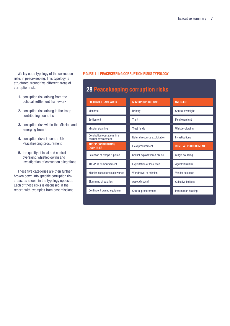We lay out a typology of the corruption risks in peacekeeping. This typology is structured around five different areas of corruption risk:

- **1.** corruption risk arising from the political settlement framework
- **2.** corruption risk arising in the troop contributing countries
- **3.** corruption risk within the Mission and emerging from it
- **4.** corruption risks in central UN Peacekeeping procurement
- **5.** the quality of local and central oversight, whistleblowing and investigation of corruption allegations

These five categories are then further broken down into specific corruption risk areas, as shown in the typology opposite. Each of these risks is discussed in the report, with examples from past missions.

#### **FIGURE 1 | PEACEKEEPING CORRUPTION RISKS TYPOLOGY**

| <b>POLITICAL FRAMEWORK</b>                        | <b>MISSION OPERATIONS</b>          | <b>OVERSIGHT</b>           |
|---------------------------------------------------|------------------------------------|----------------------------|
| Mandate                                           | <b>Bribery</b>                     | Central oversight          |
| Settlement                                        | <b>Theft</b>                       | Field oversight            |
| <b>Mission planning</b>                           | <b>Trust funds</b>                 | Whistle-blowing            |
| Conduction operations in a<br>corrupt environment | Natural resource exploitation      | Investigations             |
| <b>TROOP CONTRIBUTING</b><br><b>COUNTRIES</b>     | Field procurement                  | <b>CENTRAL PROCUREMENT</b> |
| Selection of troops & police                      | Sexual exploitation & abuse        | Single sourcing            |
| <b>TCC/PCC</b> reimbursement                      | <b>Exploitation of local staff</b> | Agents/brokers             |
| Mission subsistence allowance                     | Withdrawal of mission              | Vendor selection           |
| Skimming of salaries                              | Asset disposal                     | <b>Collusive bidders</b>   |
| Contingent owned equipment                        | Central procurement                | Information broking        |
|                                                   |                                    |                            |

#### **28 Peacekeeping corruption risks**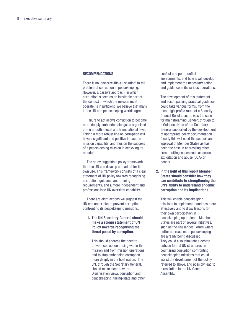#### **Recommendations**

There is no 'one-size-fits-all solution' to the problem of corruption in peacekeeping. However, a passive approach, in which corruption is seen as an inevitable part of the context in which the mission must operate, is insufficient. We believe that many in the UN and peacekeeping worlds agree.

Failure to act allows corruption to become more deeply embedded alongside organised crime at both a local and transnational level. Taking a more robust line on corruption will have a significant and positive impact on mission capability, and thus on the success of a peacekeeping mission in achieving its mandate.

The study suggests a policy framework that the UN can develop and adapt for its own use. This framework consists of a clear statement of UN policy towards recognising corruption, guidance and training requirements, and a more independent and professionalised UN oversight capability.

There are eight actions we suggest the UN can undertake to prevent corruption confronting its peacekeeping missions:

#### **1. The UN Secretary General should make a strong statement of UN Policy towards recognising the threat posed by corruption**.

This should address the need to prevent corruption arising within the mission and from mission operations, and to stop embedding corruption more deeply in the host nation. The UN, through the Secretary General, should make clear how the Organisation views corruption and peacekeeping, failing-state and other

conflict and post-conflict environments, and how it will develop and implement the necessary action and guidance in its various operations.

The development of this statement and accompanying practical guidance could take various forms: from the most high-profile route of a Security Council Resolution, as was the case for mainstreaming Gender; through to a Guidance Note of the Secretary General supported by the development of appropriate policy documentation. Clearly this will need the support and approval of Member States as has been the case in addressing other cross-cutting issues such as sexual exploitation and abuse (SEA) or gender.

**2. In the light of this report Member States should consider how they can contribute to strengthening the UN's ability to understand endemic corruption and its implications.** 

This will enable peacekeeping missions to implement mandates more effectively and to draw lessons for their own participation in peacekeeping operations. Member States are part of several initiatives, such as the Challenges Forum where better approaches to peacekeeping are already being discussed. They could also stimulate a debate outside formal UN structures on countering corruption confronting peacekeeping missions that could assist the development of the policy referred to above, and possibly lead to a resolution in the UN General Assembly.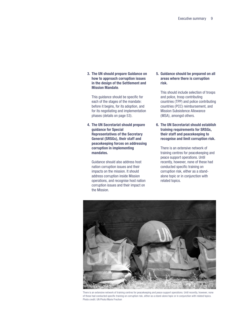**3. The UN should prepare Guidance on how to approach corruption issues in the design of the Settlement and Mission Mandate**.

This guidance should be specific for each of the stages of the mandate: before it begins, for its adoption, and for its negotiating and implementation phases (details on page 53).

**4. The UN Secretariat should prepare guidance for Special Representatives of the Secretary General (SRSGs), their staff and peacekeeping forces on addressing corruption in implementing mandates.** 

Guidance should also address host nation corruption issues and their impacts on the mission. It should address corruption inside Mission operations, and recognise host nation corruption issues and their impact on the Mission.

**5. Guidance should be prepared on all areas where there is corruption risk.** 

This should include selection of troops and police, troop contributing countries (TPP) and police contributing countries (PCC) reimbursement, and Mission Subsistence Allowance (MSA), amongst others.

**6. The UN Secretariat should establish training requirements for SRSGs, their staff and peacekeeping to recognise and limit corruption risk.**

There is an extensive network of training centres for peacekeeping and peace support operations. Until recently, however, none of these had conducted specific training on corruption risk, either as a standalone topic or in conjunction with related topics.



There is an extensive network of training centres for peacekeeping and peace support operations. Until recently, however, none of these had conducted specific training on corruption risk, either as a stand-alone topic or in conjunction with related topics. Photo credit: UN Photo/Marie Frechon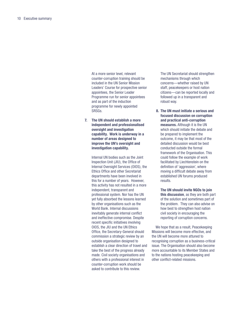At a more senior level, relevant counter-corruption training should be included in the UN Senior Mission Leaders' Course for prospective senior appointees, the Senior Leader Programme run for senior appointees and as part of the induction programme for newly appointed SRSGs.

**7. The UN should establish a more independent and professionalised oversight and investigation capability. Work is underway in a number of areas designed to improve the UN's oversight and investigation capability.**

> Internal UN bodies such as the Joint Inspection Unit (JIU), the Office of Internal Oversight Services (OIOS), the Ethics Office and other Secretariat departments have been involved in this for a number of years. However, this activity has not resulted in a more independent, transparent and professional system. Nor has the UN yet fully absorbed the lessons learned by other organisations such as the World Bank. Internal discussions inevitably generate internal conflict and ineffective compromise. Despite recent specific initiatives involving OIOS, the JIU and the UN Ethics Office, the Secretary-General should commission a strategic review by an outside organisation designed to establish a clear direction of travel and take the best of the progress already made. Civil society organisations and others with a professional interest in counter-corruption work should be asked to contribute to this review.

The UN Secretariat should strengthen mechanisms through which concerns—whether raised by UN staff, peacekeepers or host nation citizens—can be reported locally and followed up in a transparent and robust way.

**8. The UN must initiate a serious and focused discussion on corruption and practical anti-corruption measures.** Although it is the UN which should initiate the debate and be prepared to implement the outcome, it may be that most of the detailed discussion would be best conducted outside the formal framework of the Organisation. This could follow the example of work facilitated by Liechtenstein on the definition of 'aggression', where moving a difficult debate away from established UN forums produced results.

**The UN should invite NGOs to join this discussion**, as they are both part of the solution and sometimes part of the problem. They can also advise on how best to strengthen host nation civil society in encouraging the reporting of corruption concerns.

We hope that as a result. Peacekeeping Missions will become more effective, and the UN will become more attuned to recognising corruption as a business-critical issue. The Organisation should also become more accountable to its Member States and to the nations hosting peacekeeping and other conflict-related missions.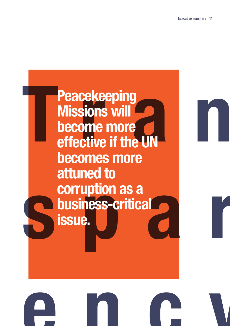## **The Peacekeeping<br>
Missions will<br>
become more<br>
effective if the UN<br>
becomes more Substitution of the Corruption as a**<br> **Substitution issue. Peacekeeping Missions will become more effective if the UN becomes more attuned to corruption as a business-critical issue.**

**ency**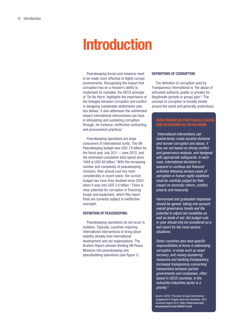## **Introduction**

Peacekeeping forces and missions need to be made more effective in highly corrupt environments. Recognising the impact that corruption has on a mission's ability to implement its mandate, the OECD principle of 'Do No Harm' highlights the importance of the linkages between corruption and conflict in designing sustainable settlements (see box below). It also addresses the unintended impact international interventions can have in stimulating and sustaining corruption through, for instance, ineffective contracting and procurement practices.<sup>1</sup>

Peacekeeping operations are large consumers of international funds. The UN Peacekeeping budget was USD 7.9 billion for the fiscal year July 2011 – June 2012; and the estimated cumulative total spend since 1949 is USD 69 billion.<sup>2</sup> With the increasing number and complexity of peacekeeping missions, their annual cost has risen considerably in recent years: the current budget has more than doubled since 2004 when it was only USD 2.8 billion.<sup>3</sup> There is clear potential for corruption in financing troops and equipment, which this report finds are currently subject to ineffective oversight.

#### **Definition of peacekeeping**

Peacekeeping operations do not occur in isolation. Typically, countries requiring international interventions to bring about stability already host international development and aid organisations. The Brahimi Report advised dividing UN Peace Missions into peacekeeping and peacebuilding operations (see figure 1).

#### **Definitions of Corruption**

The definition of corruption used by Transparency International is 'the abuse of entrusted authority (public or private) for illegitimate (private or group) gain'.[4](#page-63-3) The concept of corruption is broadly similar around the world and generally understood,

#### **OECD Principles for Fragile States and Situations #2: Do No Harm**

"International interventions can inadvertently create societal divisions and worsen corruption and abuse, if they are not based on strong conflict and governance analysis, and designed with appropriate safeguards. In each case, international decisions to suspend or continue aid-financed activities following serious cases of corruption or human rights violations must be carefully judged for their impact on domestic reform, conflict, poverty and insecurity.

Harmonised and graduated responses should be agreed, taking into account overall governance trends and the potential to adjust aid modalities as well as levels of aid. Aid budget cuts in-year should only be considered as a last resort for the most serious situations.

Donor countries also have specific responsibilities at home in addressing corruption, in areas such as asset recovery, anti-money laundering measures and banking transparency. Increased transparency concerning transactions between partner governments and companies, often based in OECD countries, in the extractive industries sector is a priority."

Source: OECD, Principles for good international engagement in fragile states and situations, 2007, accessed August 2013, http://www.oecd.org/ development/incaf/38368714.pdf.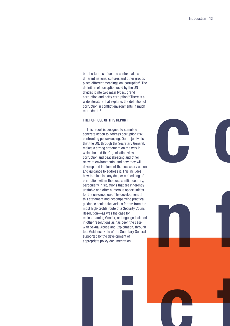but the term is of course contextual, as different nations, cultures and other groups place different meanings on 'corruption'. The definition of corruption used by the UN divides it into two main types: grand corruption and petty corruption.<sup>[5](#page-63-4)</sup> There is a wide literature that explores the definition of corruption in conflict environments in much more depth.<sup>6</sup>

#### **The purpose of this report**

This report is designed to stimulate concrete action to address corruption risk confronting peacekeeping. Our objective is that the UN, through the Secretary General, makes a strong statement on the way in which he and the Organisation view corruption and peacekeeping and other relevant environments, and how they will develop and implement the necessary action and guidance to address it. This includes how to minimise any deeper embedding of corruption within the post-conflict country, particularly in situations that are inherently unstable and offer numerous opportunities for the unscrupulous. The development of this statement and accompanying practical guidance could take various forms: from the most high-profile route of a Security Council Resolution—as was the case for mainstreaming Gender, or language included in other resolutions as has been the case with Sexual Abuse and Exploitation, through to a Guidance Note of the Secretary General supported by the development of appropriate policy documentation.





**lict**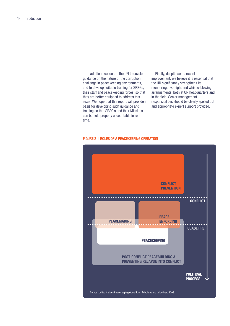In addition, we look to the UN to develop guidance on the nature of the corruption challenge in peacekeeping environments, and to develop suitable training for SRSGs, their staff and peacekeeping forces, so that they are better equipped to address this issue. We hope that this report will provide a basis for developing such guidance and training so that SRSG's and their Missions can be held properly accountable in real time.

Finally, despite some recent improvement, we believe it is essential that the UN significantly strengthens its monitoring, oversight and whistle-blowing arrangements, both at UN headquarters and in the field. Senior management responsibilities should be clearly spelled out and appropriate expert support provided.

#### **FIGURE 2 | Roles of a Peacekeeping Operation**

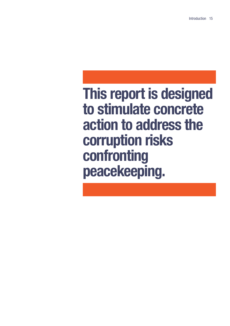## **This report is designed to stimulate concrete action to address the corruption risks confronting peacekeeping.**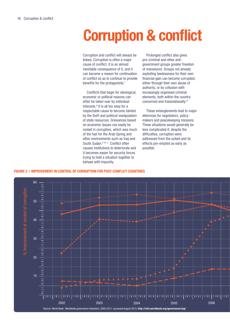## **Corruption & conflict**

Corruption and conflict will always be linked. Corruption is often a major cause of conflict, it is an almost inevitable consequence of it, and it can become a reason for continuation of conflict so as to continue to provide benefits for the protagonists.<sup>[7](#page-63-6)</sup>

Conflicts that begin for ideological, economic or political reasons can often be taken over by individual interests.<sup>8</sup> It is all too easy for a respectable cause to become tainted by the theft and political manipulation of state resources. Grievances based on economic issues can easily be rooted in corruption, which was much of the fuel for the Arab Spring and other environments such as Iraq and South Sudan.<sup>9 [10](#page-63-9) 11</sup> Conflict often causes institutions to deteriorate and it becomes easier for security forces trying to hold a situation together to behave with impunity.

Prolonged conflict also gives pro-criminal and other antigovernment groups greater freedom of manoeuvre. Groups not already exploiting lawlessness for their own financial gain can become corrupted, either through their own abuse of authority, or by collusion with increasingly organised criminal elements, both within the country concerned and transnationally[.12](#page-63-11)

These entanglements lead to major dilemmas for negotiators, policymakers and peacekeeping missions. These situations would generally be less complicated if, despite the difficulties, corruption were addressed from the outset and its effects pre-empted as early as possible.

#### **Figure 3 | Improvement in control of corruption for post-conflict countries**

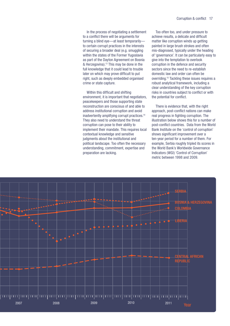In the process of negotiating a settlement to a conflict there will be arguments for turning a blind eye—at least temporarily to certain corrupt practices in the interests of securing a broader deal (e.g. smuggling within the states of the Former Yugoslavia as part of the Dayton Agreement on Bosnia & Herzegovina)[.13](#page-63-12) This may be done in the full knowledge that it could lead to trouble later on which may prove difficult to put right, such as deeply embedded organised crime or state capture.

Within this difficult and shifting environment, it is important that negotiators, peacekeepers and those supporting state reconstruction are conscious of and able to address institutional corruption and avoid inadvertently amplifying corrupt practices[.14](#page-63-13) They also need to understand the threat corruption can pose to their ability to implement their mandate. This requires local contextual knowledge and sensitive judgments about the institutional and political landscape. Too often the necessary understanding, commitment, expertise and preparation are lacking.

Too often too, and under pressure to achieve results, a delicate and difficult matter like corruption winds up getting painted in large brush strokes and often mis-diagnosed, typically under the heading of 'governance'. It can be particularly easy to give into the temptation to overlook corruption in the defence and security sectors since the need to re-establish domestic law and order can often be overriding[.15](#page-63-14) Tackling these issues requires a robust analytical framework, including a clear understanding of the key corruption risks in countries subject to conflict or with the potential for conflict.

There is evidence that, with the right approach, post-conflict nations can make real progress in fighting corruption. The illustration below shows this for a number of post-conflict countries. Data from the World Bank Institute on the 'control of corruption' shows significant improvement over a ten-year period for a number of them. For example, Serbia roughly tripled its scores in the World Bank's Worldwide Governance Indicators (WGI) 'Control of Corruption' metric between 1998 and 2009.

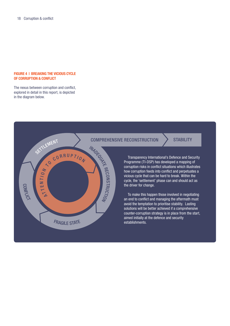#### **Figure 4 | BREAKING THE VICIOUS CYCLE OF CORRUPTION & CONFLICT**

The nexus between corruption and conflict, explored in detail in this report, is depicted in the diagram below.



#### comprehensive reconstruction > Stability

Transparency International's Defence and Security Programme (TI-DSP) has developed a mapping of corruption risks in conflict situations which illustrates how corruption feeds into conflict and perpetuates a vicious cycle that can be hard to break. Within the cycle, the 'settlement' phase can and should act as the driver for change.

To make this happen those involved in negotiating an end to conflict and managing the aftermath must avoid the temptation to prioritise stability. Lasting solutions will be better achieved if a comprehensive counter-corruption strategy is in place from the start, aimed initially at the defence and security establishments.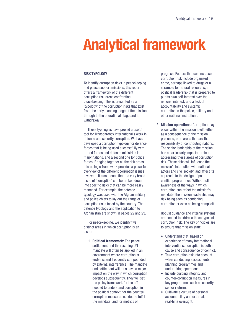# **Analytical framework**

#### **Risk typology**

To identify corruption risks in peacekeeping and peace support missions, this report offers a framework of the different corruption risk areas confronting peacekeeping. This is presented as a 'typology' of the corruption risks that exist from the early planning stage of the mission, through to the operational stage and its withdrawal.

These typologies have proved a useful tool for Transparency International's work in defence and security corruption. We have developed a corruption typology for defence forces that is being used successfully with armed forces and defence ministries in many nations, and a second one for police forces. Bringing together all the risk areas into a single framework provides a powerful overview of the different corruption issues involved. It also means that the very broad issue of 'corruption' can be broken down into specific risks that can be more easily managed. For example, the defence typology was used with the Afghan military and police chiefs to lay out the range of corruption risks faced by the country. The defence typology and the application to Afghanistan are shown in pages 22 and 23.

For peacekeeping, we identify five distinct areas in which corruption is an issue:

**1. Political framework**: The peace settlement and the resulting UN mandate will often be applied in an environment where corruption is endemic and frequently compounded by external interference. The mandate and settlement will thus have a major impact on the way in which corruption develops subsequently. They will set the policy framework for the effort needed to understand corruption in the political context, for the countercorruption measures needed to fulfill the mandate, and for metrics of

progress. Factors that can increase corruption risk include organised crime, perhaps linked to drugs or a scramble for natural resources; a political leadership that is prepared to put its own self-interest over the national interest; and a lack of accountability and systemic corruption in the police, military and other national institutions.

**2. Mission operations:** Corruption may occur within the mission itself, either as a consequence of the mission presence, or in areas that are the responsibility of contributing nations. The senior leadership of the mission has a particularly important role in addressing these areas of corruption risk. These risks will influence the mission's interaction with national actors and civil society, and affect its approach to the design of postconflict programmes. Without full awareness of the ways in which corruption can affect the mission's mandate, the mission leadership may risk being seen as condoning corruption or even as being complicit.

Robust guidance and internal systems are needed to address these types of corruption risk. The key principles are to ensure that mission staff:

- Understand that, based on experience of many international interventions, corruption is both a cause and consequence of conflict.
- Take corruption risk into account when conducting assessments, planning programmes and undertaking operations.
- Include building integrity and counter-corruption measures in key programmes such as security sector rfeform.
- Cultivate a culture of personal accountability and external, real-time oversight.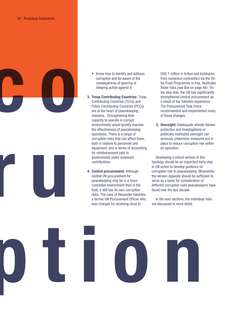



- Know how to identify and address corruption and be aware of the consequences of ignoring or delaying action against it.
- **3. Troop Contributing Countries:** Troop Contributing Countries (TCCs) and Police Contributing Countries (PCCs) are at the heart of peacekeeping missions. Strengthening their capacity to operate in corrupt environments would greatly improve the effectiveness of peacekeeping operations. There is a range of corruption risks that can affect them, both in relation to personnel and equipment, and in terms of accounting for reimbursement paid to governments under assessed contributions
- **4. Central procurement:** Although central UN procurement for peacekeeping may be in a more controlled environment than in the field, it still has its own corruption risks. The case of Alexander Yakovlev, a former UN Procurement Officer who was charged for receiving close to

USD 1 million in bribes and kickbacks from numerous contractors via the Oilfor-Food Programme in Iraq, illustrates those risks (see Box on page 46). On the plus side, the UN has significantly strengthened central procurement as a result of the Yakovlev experience. The Procurement Task Force recommended and implemented many of those changes.

**5. Oversight:** Inadequate whistle-blower protection and investigations or politically motivated oversight can seriously undermine measures put in place to reduce corruption risk within an operation.

Developing a robust version of this typology should be an important early step in UN action to develop guidance on corruption risk in peacekeeping. Meanwhile, the version opposite should be sufficient to serve as a basis for consideration of different corruption risks peacekeepers have faced over the last decade.

In the next sections, the individual risks are discussed in more detail.

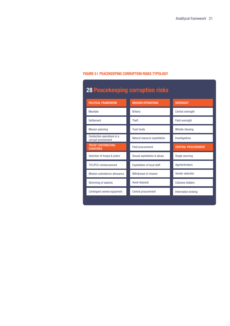#### **Figure 5 | Peacekeeping corruption risks typology**

| <b>28 Peacekeeping corruption risks</b>           |                                    |                            |  |  |
|---------------------------------------------------|------------------------------------|----------------------------|--|--|
| <b>POLITICAL FRAMEWORK</b>                        | <b>MISSION OPERATIONS</b>          | <b>OVERSIGHT</b>           |  |  |
| Mandate                                           | <b>Bribery</b>                     | Central oversight          |  |  |
| Settlement                                        | <b>Theft</b>                       | Field oversight            |  |  |
| <b>Mission planning</b>                           | <b>Trust funds</b>                 | Whistle-blowing            |  |  |
| Conduction operations in a<br>corrupt environment | Natural resource exploitation      | Investigations             |  |  |
| <b>TROOP CONTRIBUTING</b><br><b>COUNTRIES</b>     | <b>Field procurement</b>           | <b>CENTRAL PROCUREMENT</b> |  |  |
| Selection of troops & police                      | Sexual exploitation & abuse        | Single sourcing            |  |  |
| <b>TCC/PCC</b> reimbursement                      | <b>Exploitation of local staff</b> | Agents/brokers             |  |  |
| Mission subsistence allowance                     | Withdrawal of mission              | Vendor selection           |  |  |
| Skimming of salaries                              | Asset disposal                     | Collusive bidders          |  |  |
| Contingent owned equipment                        | Central procurement                | Information broking        |  |  |
|                                                   |                                    |                            |  |  |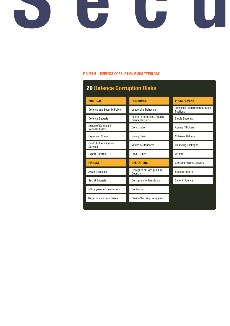# **Security**

#### **Figure 6 | DEFENCE corruption risks typology**

| <b>29 Defence Corruption Risks</b>           |                                                 |                                                     |  |  |
|----------------------------------------------|-------------------------------------------------|-----------------------------------------------------|--|--|
| <b>POLITICAL</b>                             | <b>PERSONNEL</b>                                | <b>PROCUREMENT</b>                                  |  |  |
| Defence and Security Policy                  | Leadership Behaviour                            | <b>Technical Requirements / Speci-</b><br>fications |  |  |
| <b>Defence Budgets</b>                       | Payroll, Promotions, Appoint-<br>ments, Rewards | <b>Single Sourcing</b>                              |  |  |
| Nexus of Defence &<br><b>National Assets</b> | Conscription                                    | Agents / Brokers                                    |  |  |
| <b>Organised Crime</b>                       | <b>Salary Chain</b>                             | <b>Collusive Bidders</b>                            |  |  |
| Control of Intelligence<br><b>Services</b>   | Values & Standards                              | <b>Financing Packages</b>                           |  |  |
| <b>Export Controls</b>                       | <b>Small Bribes</b>                             | <b>Offsets</b>                                      |  |  |
| <b>FINANCE</b>                               | <b>OPERATIONS</b>                               | <b>Contract Award, Delivery</b>                     |  |  |
| <b>Asset Disposals</b>                       | Disregard of Corruption in<br>Country           | Subcontractors                                      |  |  |
| <b>Secret Budgets</b>                        | <b>Corruption within Mission</b>                | Seller Influence                                    |  |  |
| Military-owned businesses                    | Contracts                                       |                                                     |  |  |
| <b>Illegal Private Enterprises</b>           | <b>Private Security Companies</b>               |                                                     |  |  |
|                                              |                                                 |                                                     |  |  |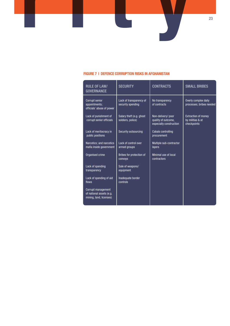#### **Figure 7 | DEFENCE corruption risks IN AFGHANISTAN**

**Security**

| <b>RULE OF LAW/</b><br><b>GOVERNANCE</b>                                  | <b>SECURITY</b>                               | <b>CONTRACTS</b>                                                    | <b>SMALL BRIBES</b>                                           |
|---------------------------------------------------------------------------|-----------------------------------------------|---------------------------------------------------------------------|---------------------------------------------------------------|
| Corrupt senior<br>appointments;<br>officials' abuse of power              | Lack of transparency of<br>security spending  | No transparency<br>of contracts                                     | Overly complex daily<br>processes; bribes needed              |
| Lack of punishment of<br>corrupt senior officials                         | Salary theft (e.g. ghost<br>soldiers, police) | Non-delivery/poor<br>quality of outcome,<br>especially construction | <b>Extraction of money</b><br>by militias & at<br>checkpoints |
| Lack of meritocracy in<br>public positions                                | Security outsourcing                          | <b>Cabals controlling</b><br>procurement                            |                                                               |
| Narcotics; and narcotics<br>mafia inside government                       | Lack of control over<br>armed groups          | Multiple sub-contractor<br>layers                                   |                                                               |
| Organised crime                                                           | Bribes for protection of<br>convoys           | Minimal use of local<br>contractors                                 |                                                               |
| Lack of spending<br>transparency                                          | Sale of weapons/<br>equipment                 |                                                                     |                                                               |
| Lack of spending of aid<br>flows                                          | Inadequate border<br>controls                 |                                                                     |                                                               |
| Corrupt management<br>of national assets (e.g.<br>mining, land, licenses) |                                               |                                                                     |                                                               |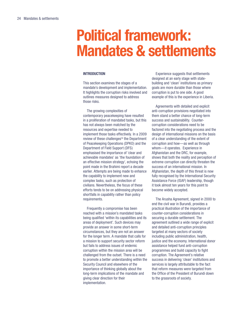### **Political framework: Mandates & settlements**

#### **Introduction**

This section examines the stages of a mandate's development and implementation. It highlights the corruption risks involved and outlines measures designed to address those risks.

The growing complexities of contemporary peacekeeping have resulted in a proliferation of mandated tasks, but this has not always been matched by the resources and expertise needed to implement those tasks effectively. In a 2009 review of these challenges<sup>16</sup> the Department of Peacekeeping Operations (DPKO) and the Department of Field Support (DFS) emphasised the importance of 'clear and achievable mandates' as 'the foundation of an effective mission strategy', echoing the point made in the Brahimi report a decade earlier. Attempts are being made to enhance the capability to implement new and complex tasks, such as protection of civilians. Nevertheless, the focus of these efforts tends to be on addressing physical shortfalls in capability rather than policy requirements.

Frequently a compromise has been reached with a mission's mandated tasks being qualified 'within its capabilities and its areas of deployment'. Such devices may provide an answer in some short-term circumstances, but they are not an answer for the longer term. A mandate that calls for a mission to support security sector reform but fails to address issues of endemic corruption within the mission area will be challenged from the outset. There is a need to promote a better understanding within the Security Council and elsewhere of the importance of thinking globally about the long-term implications of the mandate and giving clear direction for their implementation.

Experience suggests that settlements designed at an early stage with statebuilding and 'clean' institutions as primary goals are more durable than those where corruption is put to one side. A good example of this is the experience in Liberia.

Agreements with detailed and explicit anti-corruption provisions negotiated into them stand a better chance of long-term success and sustainability. Countercorruption considerations need to be factored into the negotiating process and the design of international missions on the basis of a clear understanding of the extent of corruption and how—as well as through whom—it operates. Experience in Afghanistan and the DRC, for example, shows that both the reality and perception of extreme corruption can directly threaten the success of an international mission. In Afghanistan, the depth of this threat is now fully recognised by the International Security Assistance Force (ISAF) leadership, though it took almost ten years for this point to become widely accepted.

The Arusha Agreement, signed in 2000 to end the civil war in Burundi, provides a practical illustration of the importance of counter-corruption considerations in securing a durable settlement. The agreement outlined a wide range of explicit and detailed anti-corruption principles targeted at many sectors of society including public administration, health, justice and the economy. International donor assistance helped fund anti-corruption programmes and build capacity to fight corruption. The Agreement's relative success in delivering 'clean' institutions and services is largely attributable to the fact that reform measures were targeted from the Office of the President of Burundi down to the grassroots of society.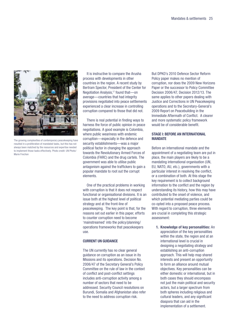

The growing complexities of contemporary peacekeeping have resulted in a proliferation of mandated tasks, but this has not always been matched by the resources and expertise needed to implement those tasks effectively. Photo credit: UN Photo/ Marie Frechon

It is instructive to compare the Arusha process with developments in other countries in the region. A recent study by Bertram Spector, President of the Center for Negotiation Analysis,<sup>17</sup> found that-on average—countries that had integrity provisions negotiated into peace settlements experienced a clear increase in controlling corruption compared to those that did not.

There is real potential in finding ways to harness the force of public opinion in peace negotiations. A good example is Colombia, where public weariness with endemic corruption—especially in the defence and security establishments—was a major political factor in changing the approach towards the Revolutionary Armed Forces of Colombia (FARC) and the drug cartels. The government was able to utilise public antagonism against the traffickers to gain a popular mandate to root out the corrupt elements.

One of the practical problems in working with corruption is that it does not respect functional or organisational divisions. It is an issue both at the highest level of political strategy and at the front-line of peacekeeping. The key point is that, for the reasons set out earlier in this paper, efforts to counter corruption need to become 'mainstreamed' into the policy/planning/ operations frameworks that peacekeepers use.

#### **Current UN Guidance**

The UN currently has no clear general guidance on corruption as an issue in its Missions and its operations. Decision No. 2006/47 of the Secretary General's Policy Committee on the rule of law in the context of conflict and post-conflict settings includes anti-corruption activity among a number of sectors that need to be addressed. Security Council resolutions on Burundi, Somalia and Afghanistan also refer to the need to address corruption risk.

But DPKO's 2010 Defence Sector Reform Policy paper makes no mention of corruption, nor does the 2009 New Horizons Paper or the successor to Policy Committee Decision 2006/47, Decision 2012/13. The same applies to other papers dealing with Justice and Corrections in UN Peacekeeping operations and to the Secretary-General's 2009 Report on Peacebuilding in the Immediate Aftermath of Conflict. A clearer and more systematic policy framework would be of considerable benefit.

#### **Stage I: Before an International Mandate**

Before an international mandate and the appointment of a negotiating team are put in place, the main players are likely to be a mandating international organisation (UN, EU, NATO, AU, etc.), governments with a particular interest in resolving the conflict, or a combination of both. At this stage the key requirement is to collect background information to the conflict and the region by understanding its history, how this may have contributed to the onset of violence, and which potential mediating parties could be co-opted into a proposed peace process. With regard to corruption, three elements are crucial in completing this strategic assessment:

**1. Knowledge of key personalities:** An appreciation of the key personalities within the state, the region and at an international level is crucial in designing a negotiating strategy and establishing an anti-corruption approach. This will help map shared interests and present an opportunity to form an alliance around mutual objectives. Key personalities can be either domestic or international, but in both cases they should encompass not just the main political and security actors, but a larger spectrum from both spheres including religious and cultural leaders, and any significant diaspora that can aid in the implementation of a settlement.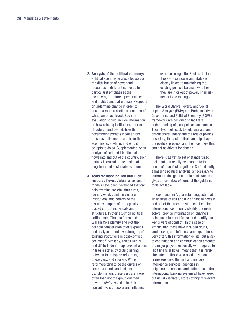Political economy analysis focuses on the distribution of power and resources in different contexts. In particular it emphasises the incentives, structures, personalities, and institutions that ultimately support or undermine change in order to ensure a more realistic expectation of what can be achieved. Such an evaluation should include information

**2. Analysis of the political economy:** 

on how existing institutions are run, structured and owned; how the government extracts income from these establishments and from the economy as a whole; and who it co-opts to do so. Supplemented by an analysis of licit and illicit financial flows into and out of the country, such a study is crucial to the design of a long-term and sustainable settlement.

**3. Tools for mapping licit and illicit resource flows**: Various assessment models have been developed that can help examine societal structures, identify weak points in existing institutions, and determine the disruptive impact of strategically placed corrupt individuals and structures. In their study on political settlements, Thomas Parks and William Cole identify and plot the political constellation of elite groups and analyse the relative strengths of existing institutions in post-conflict societies.<sup>18</sup> Similarly, Tobias Debiel and Ulf Terlinden<sup>19</sup> map relevant actors in fragile states by distinguishing between three types: reformers, preservers, and spoilers. While reformers tend to be the drivers of socio-economic and political transformation; preservers are more often than not the group oriented towards status quo due to their current levels of power and influence

over the ruling elite. Spoilers include those whose power and status is closely linked to maintaining the existing political balance, whether they are in or out of power. Their risk needs to be managed.

The World Bank's Poverty and Social Impact Analysis (PSIA) and Problem-driven Governance and Political Economy (PGPE) framework are designed to facilitate understanding of local political economies. These two tools seek to help analysts and practitioners understand the role of politics in society, the factors that can help shape the political process, and the incentives that can act as drivers for change.

There is as yet no set of standardised tools that can readily be adapted to the needs of a conflict negotiator. Self-evidently, a baseline political analysis is necessary to inform the design of a settlement. Annex 1 gives an overview of some of the guidance tools available.

Experience in Afghanistan suggests that an analysis of licit and illicit financial flows in and out of the affected state can help the international community identify the main actors, provide information on channels being used to divert funds, and identify the key drivers of conflict. In the case of Afghanistan these have included drugs. land, power, and influence amongst others. Very often, this information exists, but a lack of coordination and communication amongst the major players, especially with regards to illicit financial flows, means that it is rarely circulated to those who need it. National crime agencies, the civil and military intelligence services, agencies in neighbouring nations, and authorities in the international banking system all have large, but usually isolated, stores of highly relevant information.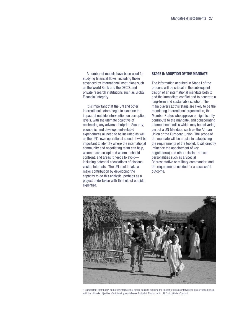A number of models have been used for studying financial flows, including those advanced by international institutions such as the World Bank and the OECD, and private research institutions such as Global Financial Integrity.

It is important that the UN and other international actors begin to examine the impact of outside intervention on corruption levels, with the ultimate objective of minimising any adverse footprint. Security, economic, and development-related expenditures all need to be included as well as the UN's own operational spend. It will be important to identify where the international community and negotiating team can help, whom it can co-opt and whom it should confront, and areas it needs to avoid including potential accusations of obvious vested interests. The UN could make a major contribution by developing the capacity to do this analysis, perhaps as a project undertaken with the help of outside expertise.

#### **Stage II: Adoption of the Mandate**

The information acquired in Stage I of the process will be critical in the subsequent design of an international mandate both to end the immediate conflict and to generate a long-term and sustainable solution. The main players at this stage are likely to be the mandating international organisation, the Member States who approve or significantly contribute to the mandate, and collaborating international bodies which may be delivering part of a UN Mandate, such as the African Union or the European Union. The scope of the mandate will be crucial in establishing the requirements of the toolkit. It will directly influence the appointment of key negotiator(s) and other mission-critical personalities such as a Special Representative or military commander; and the requirements needed for a successful outcome.



It is important that the UN and other international actors begin to examine the impact of outside intervention on corruption levels, with the ultimate objective of minimising any adverse footprint. Photo credit: UN Photo/Olivier Chassot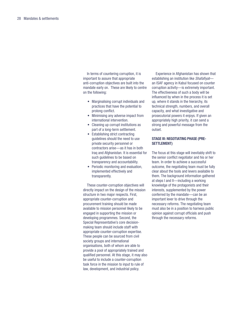In terms of countering corruption, it is important to assure that appropriate anti-corruption objectives are built into the mandate early on. These are likely to centre on the following:

- Marginalising corrupt individuals and practices that have the potential to prolong conflict.
- Minimising any adverse impact from international intervention.
- Cleaning up corrupt institutions as part of a long-term settlement.
- Establishing strict contracting guidelines should the need to use private security personnel or contractors arise—as it has in both Iraq and Afghanistan. It is essential for such guidelines to be based on transparency and accountability.
- Periodic monitoring and evaluation, implemented effectively and transparently.

These counter-corruption objectives will directly impact on the design of the mission structure in two major respects. First, appropriate counter-corruption and procurement training should be made available to mission personnel likely to be engaged in supporting the mission or developing programmes. Second, the Special Representative's core decisionmaking team should include staff with appropriate counter-corruption expertise. These people can be sourced from civil society groups and international organisations, both of whom are able to provide a pool of appropriately trained and qualified personnel. At this stage, it may also be useful to include a counter-corruption task force in the mission to input to rule of law, development, and industrial policy.

Experience in Afghanistan has shown that establishing an institution like Shafafiyatan ISAF agency in Kabul focused on counter corruption activity—is extremely important. The effectiveness of such a body will be influenced by when in the process it is set up, where it stands in the hierarchy, its technical strength, numbers, and overall capacity, and what investigative and prosecutorial powers it enjoys. If given an appropriately high priority, it can send a strong and powerful message from the outset.

#### **Stage III: Negotiating Phase (pre-Settlement)**

The focus at this stage will inevitably shift to the senior conflict negotiator and his or her team. In order to achieve a successful outcome, the negotiating team must be fully clear about the tools and levers available to them. The background information gathered at steps I and II—including a working knowledge of the protagonists and their interests, supplemented by the power conferred by the mandate—can be an important lever to drive through the necessary reforms. The negotiating team must also be in a position to harness public opinion against corrupt officials and push through the necessary reforms.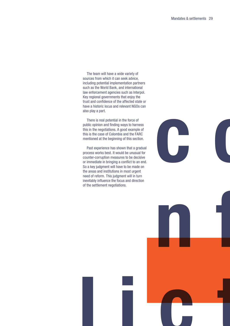The team will have a wide variety of sources from which it can seek advice, including potential implementation partners such as the World Bank, and international law enforcement agencies such as Interpol. Key regional governments that enjoy the trust and confidence of the affected state or have a historic locus and relevant NGOs can also play a part.

There is real potential in the force of public opinion and finding ways to harness this in the negotiations. A good example of this is the case of Colombia and the FARC mentioned at the beginning of this section.

Past experience has shown that a gradual process works best. It would be unusual for counter-corruption measures to be decisive or immediate in bringing a conflict to an end. So a key judgment will have to be made on the areas and institutions in most urgent need of reform. This judgment will in turn inevitably influence the focus and direction of the settlement negotiations.



**n f**

**lict**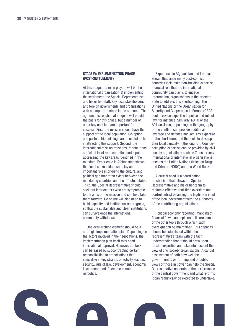#### **Stage IV: Implementation Phase (post-Settlement)**

At this stage, the main players will be the international organisation(s) implementing the settlement, the Special Representative and his or her staff, key local stakeholders, and foreign governments and organisations with an important stake in the outcome. The agreements reached at stage III will provide the basis for this phase, but a number of other key enablers are important for success. First, the mission should have the support of the local population. Co-option and partnership building can be useful tools in attracting this support. Second, the international mission must ensure that it has sufficient local representation and input in addressing the key areas identified in the mandate. Experience in Afghanistan shows that local stakeholders can play an important role in bridging the cultural and political gap that often exists between the mandating countries and the affected states. Third, the Special Representative should seek out interlocutors who are sympathetic to the aims of the mission and can help take them forward. He or she will also need to build capacity and institutionalise progress, so that the sustainable and clean institutions can survive once the international community withdraws.

One over-arching element should be a strategic implementation plan. Depending on the actors involved in the negotiations, the implementation plan itself may need international approval. However, the task can be eased by subcontracting certain responsibilities to organisations that specialise in key strands of activity such as security, rule of law, development, economic investment, and if need be counternarcotics.

Experience in Afghanistan and Iraq has shown that since many post-conflict countries lack institution-building expertise; a crucial role that the international community can play is to engage international organisations in the affected state to address this shortcoming. The United Nations or the Organisation for Security and Cooperation in Europe (OSCE) could provide expertise in police and rule of law, for instance. Similarly, NATO or the African Union, depending on the geography of the conflict, can provide additional leverage and defence and security expertise in the short-term, and the tools to develop their local capacity in the long run. Countercorruption expertise can be provided by civil society organisations such as Transparency International or international organisations such as the United Nations Office on Drugs and Crime (UNODC) and the World Bank.

A crucial need is a coordination mechanism that allows the Special Representative and his or her team to maintain effective real-time oversight and control, whilst balancing the legitimate input of the local government with the autonomy of the contributing organisations.

Political economy reporting, mapping of financial flows, and opinion polls are some of the other tools through which such oversight can be maintained. This capacity should be established within the representative's team with the tacit understanding that it should draw upon outside expertise and take into account the view of civil society organisations. A candid assessment of both how well the government is performing and of public views of those in power can help the Special Representative understand the performance of the central government and what reforms it can realistically be expected to undertake.

**Security**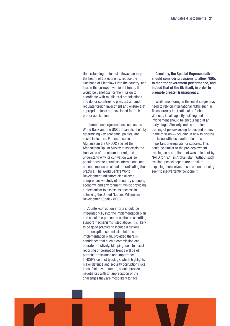Understanding of financial flows can map the health of the economy, reduce the likelihood of illicit flows into the country, and lessen the corrupt diversion of funds. It would be beneficial for the mission to coordinate with multilateral organisations and donor countries to plan, attract and regulate foreign investment and ensure that appropriate tools are developed for their proper application.

International organisations such as the World Bank and the UNODC can also help by determining key economic, political and social indicators. For instance, in Afghanistan the UNODC started the Afghanistan Opium Survey to ascertain the true value of the opium market, and understand why its cultivation was so popular despite countless international and national measures aimed at eradicating the practice. The World Bank's World Development Indicators also allow a comprehensive study of a country's people, economy, and environment, whilst providing a mechanism to assess its success in achieving the United Nations Millennium Development Goals (MDG).

Counter-corruption efforts should be integrated fully into the implementation plan and should be present in all the crosscutting support mechanisms listed above. It is likely to be good practice to include a national anti-corruption commission into the implementation plan, provided there is confidence that such a commission can operate effectively. Mapping tools to assist reporting of corruption trends will be of particular relevance and importance. TI-DSP's conflict typology, which highlights major defence and security corruption risks in conflict environments, should provide negotiators with an appreciation of the challenges they are most likely to face.

#### **Crucially, the Special Representative should consider provisions to allow NGOs to monitor government performance, and indeed that of the UN itself, in order to promote greater transparency.**

Whilst monitoring in the initial stages may need to rely on international NGOs such as Transparency International or Global Witness, local capacity building and involvement should be encouraged at an early stage. Similarly, anti-corruption training of peacekeeping forces and others in the mission—including in how to discuss the issue with local authorities—is an important prerequisite for success. This could be similar to the pre-deployment training on corruption that was rolled out by NATO for ISAF in Afghanistan. Without such training, peacekeepers are at risk of exposing themselves to corruption, or being seen to inadvertently condone it.

**Security**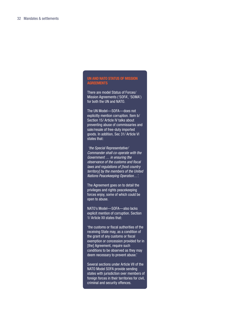#### **UN and NATO Status of Mission Agreements**

There are model Status of Forces/ Mission Agreements ('SOFA', 'SOMA') for both the UN and NATO.

The UN Model—SOFA—does not explicitly mention corruption. Item b/ Section 15/ Article IV talks about preventing abuse of commissaries and sale/resale of free-duty imported goods. In addition, Sec 31/ Article VI states that:

'the Special Representative/ Commander shall co-operate with the Government … in ensuring the observance of the customs and fiscal laws and regulations of [host country territory] by the members of the United Nations Peacekeeping Operation…'.

The Agreement goes on to detail the privileges and rights peacekeeping forces enjoy, some of which could be open to abuse.

NATO's Model—SOFA—also lacks explicit mention of corruption. Section 1/ Article XII states that:

'the customs or fiscal authorities of the receiving State may, as a condition of the grant of any customs or fiscal exemption or concession provided for in [the] Agreement, require such conditions to be observed as they may deem necessary to prevent abuse.'

Several sections under Article VII of the NATO Model SOFA provide sending states with jurisdiction over members of foreign forces in their territories for civil, criminal and security offences.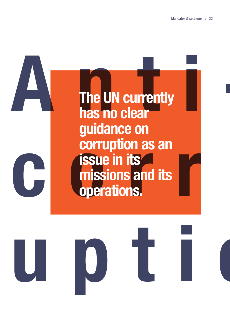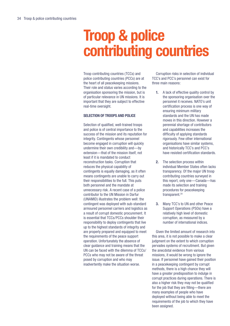## **Troop & police contributing countries**

Troop contributing countries (TCCs) and police contributing countries (PCCs) are at the heart of all peacekeeping missions. Their role and status varies according to the organisation sponsoring the mission, but is of particular relevance in UN missions. It is important that they are subject to effective real-time oversight.

#### **Selection of Troops and Police**

Selection of qualified, well-trained troops and police is of central importance to the success of the mission and its reputation for integrity. Contingents whose personnel become engaged in corruption will quickly undermine their own credibility and—by extension—that of the mission itself, not least if it is mandated to conduct reconstruction tasks. Corruption that reduces the physical capability of contingents is equally damaging, as it often means contingents are unable to carry out their responsibilities to the full. This puts both personnel and the mandate at unnecessary risk. A recent case of a police contributor to the UN Mission in Darfur (UNAMID) illustrates the problem well: the contingent was deployed with sub-standard armoured personnel carriers and logistics as a result of corrupt domestic procurement. It is essential that TCCs/PCCs shoulder their responsibility to deploy contingents that live up to the highest standards of integrity and are properly prepared and equipped to meet the requirements of the peace support operation. Unfortunately the absence of clear guidance and training means that the UN can be faced with the dilemma of TCCs/ PCCs who may not be aware of the threat posed by corruption and who may inadvertently make the situation worse.

Corruption risks in selection of individual TCC's and PCC's personnel can exist for three main reasons:

- **1.** A lack of effective quality control by the sponsoring organisation over the personnel it receives. NATO's unit certification process is one way of ensuring minimum military standards and the UN has made moves in this direction. However a perennial shortage of contributors and capabilities increases the difficulty of applying standards rigorously. Few other international organisations have similar systems, and historically TCC's and PCC's have resisted certification standards.
- **2.** The selection process within individual Member States often lacks transparency. Of the major UN troop contributing countries surveyed in this report, only one—Canada—has made its selection and training procedures for peacekeeping transparent.<sup>[20](#page-64-2)</sup>
- **3.** Many TCC's to UN and other Peace Support Operations (PSOs) have a relatively high level of domestic corruption, as measured by a number of international indices.

Given the limited amount of research into this area, it is not possible to make a clear judgment on the extent to which corruption pervades systems of recruitment. But given the anecdotal evidence from various missions, it would be wrong to ignore the issue. If personnel have gained their position in a peacekeeping contingent by corrupt methods, there is a high chance they will have a greater predisposition to indulge in corrupt practices during operations. There is also a higher risk they may not be qualified for the job that they are filling—there are many examples of people who have deployed without being able to meet the requirements of the job to which they have been assigned.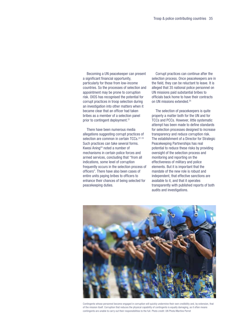Becoming a UN peacekeeper can present a significant financial opportunity, particularly for those from low-income countries. So the processes of selection and appointment may be prone to corruption risk. OIOS has recognised the potential for corrupt practices in troop selection during an investigation into other matters when it became clear that an officer had taken bribes as a member of a selection panel prior to contingent deployment.<sup>[21](#page-64-0)</sup>

There have been numerous media allegations suggesting corrupt practices of selection are common in certain TCCs.<sup>22</sup><sup>[23](#page-64-2)</sup> Such practices can take several forms. Kwesi Aning<sup>24</sup> noted a number of mechanisms in certain police forces and armed services, concluding that "from all indications, some level of corruption frequently occurs in the selection process of officers". There have also been cases of entire units paying bribes to officers to enhance their chances of being selected for peacekeeping duties.

Corrupt practices can continue after the selection process. Once peacekeepers are in the field, they can be reluctant to leave. It is alleged that 35 national police personnel on UN missions paid substantial bribes to officials back home to have their contracts on UN missions extended[.25](#page-64-4)

The selection of peacekeepers is quite properly a matter both for the UN and for TCCs and PCCs. However, little systematic attempt has been made to define standards for selection processes designed to increase transparency and reduce corruption risk. The establishment of a Director for Strategic Peacekeeping Partnerships has real potential to reduce these risks by providing oversight of the selection process and monitoring and reporting on the effectiveness of military and police elements. But it is important that the mandate of the new role is robust and independent, that effective sanctions are available to it, and that it operates transparently with published reports of both audits and investigations.



Contingents whose personnel become engaged in corruption will quickly undermine their own credibility and, by extension, that of the mission itself. Corruption that reduces the physical capability of contingents is equally damaging, as it often means contingents are unable to carry out their responsibilities to the full. Photo credit: UN Photo/Martine Perret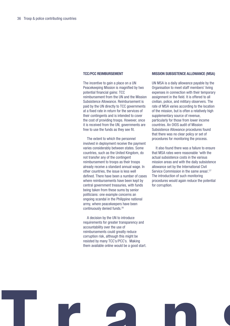#### **TCC/PCC Reimbursement**

The incentive to gain a place on a UN Peacekeeping Mission is magnified by two potential financial gains: TCC reimbursement from the UN and the Mission Subsistence Allowance. Reimbursement is paid by the UN directly to TCC governments at a fixed rate in return for the services of their contingents and is intended to cover the cost of providing troops. However, once it is received from the UN, governments are free to use the funds as they see fit.

The extent to which the personnel involved in deployment receive the payment varies considerably between states. Some countries, such as the United Kingdom, do not transfer any of the contingent reimbursement to troops as their troops already receive a standard annual wage. In other countries, the issue is less well defined. There have been a number of cases where reimbursements have been kept by central government treasuries, with funds being taken from these sums by senior politicians: one example concerns an ongoing scandal in the Philippine national army, where peacekeepers have been continuously denied funds.[26](#page-64-5)

A decision by the UN to introduce requirements for greater transparency and accountability over the use of reimbursements could greatly reduce corruption risk, although this might be resisted by many TCC's/PCC's. Making them available online would be a good start.

#### **Mission Subsistence Allowance (MSA)**

UN MSA is a daily allowance payable by the Organisation to meet staff members' living expenses in connection with their temporary assignment in the field. It is offered to all civilian, police, and military observers. The rate of MSA varies according to the location of the mission, but is often a relatively high supplementary source of revenue, particularly for those from lower income countries. An OIOS audit of Mission Subsistence Allowance procedures found that there was no clear policy or set of procedures for monitoring the process.

It also found there was a failure to ensure that MSA rates were reasonable 'with the actual subsistence costs in the various mission areas and with the daily subsistence allowance set by the International Civil Service Commission in the same areas'.[27](#page-64-6) The introduction of such monitoring procedures would again reduce the potential for corruption.

**T ranspare**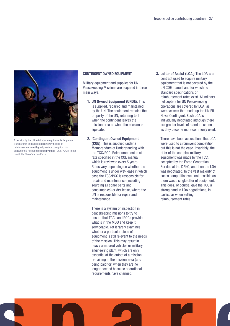

A decision by the UN to introduce requirements for greater transparency and accountability over the use of reimbursements could greatly reduce corruption risk, although this might be resisted by many TCC's/PCC's. Photo credit: UN Photo/Martine Perret

#### **Contingent owned equipment**

Military equipment and supplies for UN Peacekeeping Missions are acquired in three main ways:

- **1. UN Owned Equipment (UNOE**): This is supplied, repaired and maintained by the UN. The equipment remains the property of the UN, returning to it when the contingent leaves the mission area or when the mission is liquidated.
- **2. 'Contingent Owned Equipment' (COE)**: This is supplied under a Memorandum of Understanding with the TCC/PCC. Reimbursement is at a rate specified in the COE manual, which is reviewed every 5 years. Rates vary depending on whether the equipment is under wet-lease in which case the TCC/PCC is responsible for repair and maintenance (including sourcing all spare parts and consumables) or dry-lease, where the UN is responsible for repair and maintenance.

There is a system of inspection in peacekeeping missions to try to ensure that TCCs and PCCs provide what is in the MOU and keep it serviceable. Yet it rarely examines whether a particular piece of equipment is still relevant to the needs of the mission. This may result in heavy armoured vehicles or military engineering plant, which are only essential at the outset of a mission, remaining in the mission area (and being paid for) when they are no longer needed because operational requirements have changed.

**3. Letter of Assist (LOA**): The LOA is a contract used to acquire military equipment that is not covered by the UN COE manual and for which no standard specifications or reimbursement rates exist. All military helicopters for UN Peacekeeping operations are covered by LOA, as were vessels that made up the UNIFIL Naval Contingent. Each LOA is individually negotiated although there are greater levels of standardisation as they become more commonly used.

There have been accusations that LOA were used to circumvent competition but this is not the case. Invariably, the offer of the complex military equipment was made by the TCC, accepted by the Force Generation Service at the DPKO, and then the LOA was negotiated. In the vast majority of cases competition was not possible as there was a single offer of equipment. This does, of course, give the TCC a strong hand in LOA negotiations, in particular when setting reimbursement rates.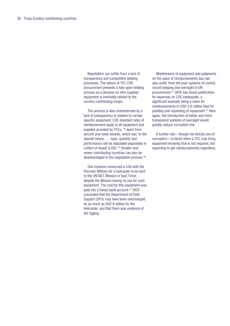Negotiation can suffer from a lack of transparency and competitive bidding processes. The nature of TCC COE procurement prevents a fully open bidding process as a decision on who supplies equipment is inevitably related to the country contributing troops.

The process is also characterised by a lack of transparency in relation to certain specific equipment. COE standard rates of reimbursement apply to all equipment and supplies provided by TCCs, <sup>28</sup> apart from aircraft and naval vessels, which due 'to the special nature,.…..type, quantity and performance will be stipulated separately in Letters of Assist [LOA].<sup>'[29](#page-64-8)</sup> Smaller and newer contributing countries can also be disadvantaged in the negotiation process.<sup>30</sup>

One instance concerned a LOA with the Peruvian Military for a helicopter to be sent to the UNTAET Mission in East Timor, despite the Mission having no use for such equipment. The cost for this equipment was paid into a Swiss bank account.<sup>[31](#page-64-10)</sup> OIOS concluded that the Department of Field Support (DFS) may have been overcharged by as much as USD 8 million for the helicopter, and that there was evidence of bid rigging.

Maintenance of equipment and judgments on the value of reimbursements due can also suffer from the poor systems of control, record keeping and oversight in UN procurement[.32](#page-64-11) OIOS has found justification for expenses on COE inadequate, a significant example being a claim for reimbursements of USD 2.6 million filed for painting and repainting of equipment.<sup>33</sup> Here again, the introduction of better and more transparent systems of oversight would greatly reduce corruption risk.

A further risk—though not strictly one of corruption—is faced when a TCC may bring equipment knowing that is not required, but expecting to get reimbursements regardless.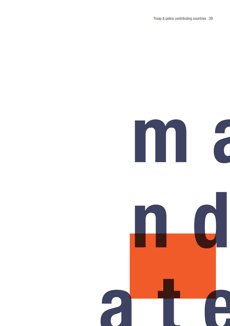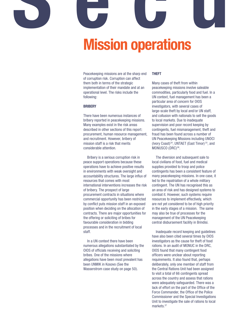## **Mission operations Security**

Peacekeeping missions are at the sharp end of corruption risk. Corruption can affect them both in terms of the strategic implementation of their mandate and at an operational level. The risks include the following:

#### **Bribery**

There have been numerous instances of bribery reported in peacekeeping missions. Many examples exist in the risk areas described in other sections of this report: procurement, human resource management, and recruitment. However, bribery of mission staff is a risk that merits considerable attention.

Bribery is a serious corruption risk in peace support operations because these operations have to achieve positive results in environments with weak oversight and accountability structures. The large influx of resources that comes with most international interventions increases the risk of bribery. The prospect of large procurement contracts in situations where commercial opportunity has been restricted by conflict puts mission staff in an exposed position when deciding on the allocation of contracts. There are major opportunities for the offering or soliciting of bribes for favourable consideration in bidding processes and in the recruitment of local staff.

In a UN context there have been numerous allegations substantiated by the OIOS of officials receiving and soliciting bribes. One of the missions where allegations have been most prevalent has been UNMIK in Kosovo (See the Wasserstrom case study on page 50).

#### **Theft**

Many cases of theft from within peacekeeping missions involve saleable commodities, particularly food and fuel. In a UN context, fuel management has been a particular area of concern for OIOS investigators, with several cases of large-scale theft by local and/or UN staff, and collusion with nationals to sell the goods to local markets. Due to inadequate supervision and poor record keeping by contingents, fuel mismanagement, theft and fraud has been found across a number of UN Peacekeeping Missions including UNOCI (Ivory Coast)[34](#page-65-0), UNTAET (East Timor) [35](#page-65-1), and MONUSCO (DRC)<sup>[36](#page-65-2)</sup>.

The diversion and subsequent sale to local civilians of food, fuel and medical supplies provided to troop and police contingents has been a consistent feature of many peacekeeping missions. In one case, it led to the repatriation of a whole military contingent. The UN has recognised this as an area of risk and has designed systems to combat it. However, such systems require resources to implement effectively, which are not yet considered to be of high priority in the early stages of a mission. The same may also be true of processes for the management of the UN Peacekeeping central disbursement facility in Brindisi.

Inadequate record keeping and guidelines have also been cited several times by OIOS investigators as the cause for theft of food rations. In an audit of MONUC in the DRC, OIOS found that many contingent food officers were unclear about reporting requirements. It also found that, perhaps deliberately, only one member of staff from the Central Rations Unit had been assigned to visit a total of 66 contingents spread across the country and assess that rations were adequately safeguarded. There was a lack of effort on the part of the Office of the Force Commander, the Office of the Police Commissioner and the Special Investigations Unit to investigate the sale of rations to local markets[.37](#page-65-3)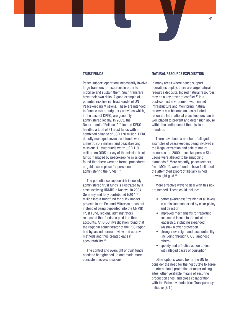#### **Trust Funds**

**Security**

Peace support operations necessarily involve large transfers of resources in order to mobilise and sustain them. Such transfers have their own risks. A good example of potential risk lies in 'Trust Funds' of UN Peacekeeping Missions. These are intended to finance extra-budgetary activities which, in the case of DPKO, are generally administered locally. In 2003, the Department of Political Affairs and DPKO handled a total of 31 trust funds with a combined balance of USD 170 million. DPKO directly managed seven trust funds worth almost USD 2 million, and peacekeeping missions 11 trust funds worth USD 110 million. An OIOS survey of the mission trust funds managed by peacekeeping missions found that there were no formal procedures or guidance in place for personnel administering the funds. [38](#page-65-4)

The potential corruption risk in loosely administered trust funds is illustrated by a case involving UNMIK in Kosovo. In 2004, Germany and Italy contributed EUR 1.7 million into a trust fund for quick impact projects in the Pec and Mitrovica areas but instead of being deposited into the UNMIK Trust Fund, regional administrators requested that funds be paid into their accounts. An OIOS Investigation found that the regional administrator of the PEC region had bypassed normal review and approval methods and thus created gaps in accountability[.39](#page-65-5)

The control and oversight of trust funds needs to be tightened up and made more consistent across missions.

#### **Natural Resource Exploitation**

In many areas where peace support operations deploy, there are large natural resource deposits. Indeed natural resources may be a key driver of conflict[.40](#page-65-6) In a post-conflict environment with limited infrastructure and monitoring, natural reserves can become an easily looted resource. International peacekeepers can be well placed to prevent and deter such abuse within the limitations of the mission mandate.

There have been a number of alleged examples of peacekeepers being involved in the illegal extraction and sale of natural resources. In 2000, peacekeepers in Sierra Leone were alleged to be smuggling diamonds[.41](#page-65-7) More recently, peacekeepers from MONUC were found to have facilitated the attempted export of illegally mined unwrought gold[.42](#page-65-8)

More effective ways to deal with this risk are needed. These could include:

- better awareness/ training at all levels in a mission, supported by clear policy and direction
- improved mechanisms for reporting suspected issues to the mission leadership, including expanded whistle- blower protection
- stronger oversight and accountability (including through OIOS, amongst others)
- speedy and effective action to deal with alleged cases of corruption

Other options would be for the UN to consider the need for the host State to agree to international protection of major mining sites, other verifiable means of securing production sites, and close collaboration with the Extractive Industries Transparency Initiative (EITI).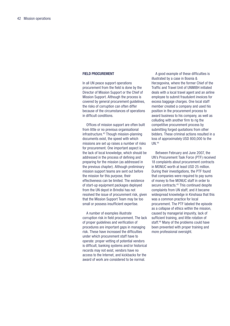#### **Field Procurement**

In all UN peace support operations procurement from the field is done by the Director of Mission Support or the Chief of Mission Support. Although the process is covered by general procurement guidelines, the risks of corruption can often differ because of the circumstances of operations in difficult conditions.

Offices of mission support are often built from little or no previous organisational infrastructure.<sup>43</sup> Though mission-planning documents exist, the speed with which missions are set up raises a number of risks for procurement. One important aspect is the lack of local knowledge, which should be addressed in the process of defining and preparing for the mission (as addressed in the previous chapter). Although preliminary mission support teams are sent out before the mission for this purpose, their effectiveness can be limited. The existence of start-up equipment packages deployed from the UN depot in Brindisi has not resolved the issue of procurement risk, given that the Mission Support Team may be too small or possess insufficient expertise.

A number of examples illustrate corruption risk in field procurement. The lack of proper guidelines and verification of procedures are important gaps in managing risk. These have increased the difficulties under which procurement staff have to operate: proper vetting of potential vendors is difficult, banking systems and/or historical records may not exist, vendors have no access to the Internet, and kickbacks for the award of work are considered to be normal.

A good example of these difficulties is illustrated by a case in Bosnia & Herzegovina, where the former Chief of the Traffic and Travel Unit of UNMIBH initiated deals with a local travel agent and an airline employee to submit fraudulent invoices for excess baggage charges. One local staff member created a company and used his position in the procurement process to award business to his company, as well as colluding with another firm to rig the competitive procurement process by submitting forged quotations from other bidders. These criminal actions resulted in a loss of approximately USD 800,000 to the UN.[44](#page-65-10)

Between February and June 2007, the UN's Procurement Task Force (PTF) received 18 complaints about procurement contracts in MONUC worth at least USD 25 million. During their investigations, the PTF found that companies were required to pay sums of money to five MONUC staff in order to secure contracts.<sup>45</sup> This continued despite complaints from UN staff, and it became widespread knowledge in Kinshasa that this was a common practice for local procurement. The PTF labeled the episode as a collapse of ethics within the mission, caused by managerial impunity, lack of sufficient training, and little rotation of staff.<sup>[46](#page-65-12)</sup> Many of the problems could have been prevented with proper training and more professional oversight.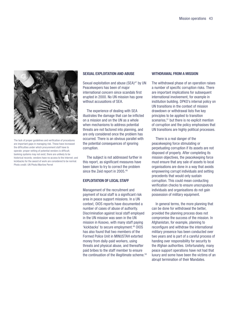

The lack of proper guidelines and verification of procedures are important gaps in managing risk. These have increased the difficulties under which procurement staff have to operate: proper vetting of potential vendors is difficult; banking systems may not exist; there are unlikely to be historical records; vendors have no access to the Internet; and kickbacks for the award of work are considered to be normal. Photo credit: UN Photo/Martine Perret

#### **Sexual Exploitation and Abuse**

Sexual exploitation and abuse (SEA)<sup>[47](#page-65-13)</sup> by UN Peacekeepers has been of major international concern since scandals first erupted in 2000. No UN mission has gone without accusations of SEA.

The experience of dealing with SEA illustrates the damage that can be inflicted on a mission and on the UN as a whole when mechanisms to address potential threats are not factored into planning, and are only considered once the problem has occurred. There is an obvious parallel with the potential consequences of ignoring corruption.

The subject is not addressed further in this report, as significant measures have been taken to try to correct the problem since the Zeid report in 2005.<sup>[48](#page-65-14)</sup>

#### **EXPLOITATION OF LOCAL STAFF**

Management of the recruitment and payment of local staff is a significant risk area in peace support missions. In a UN context, OIOS reports have documented a number of cases of abuse of authority. Discrimination against local staff employed in the UN mission was seen in the UN mission in Kosovo, with many staff paying 'kickbacks' to secure employment.[49](#page-65-15) OIOS has also found that two members of the Formed Police Unit in MINUSTAH extorted money from daily-paid workers, using threats and physical abuse, and thereafter paid bribes to the staff member to ensure the continuation of the illegitimate scheme.<sup>50</sup>

#### **Withdrawal from a Mission**

The withdrawal phase of an operation raises a number of specific corruption risks. There are important implications for subsequent international involvement, for example in institution building. DPKO's internal policy on UN transitions in the context of mission drawdown or withdrawal lists five key principles to be applied to transition scenarios,<sup>51</sup> but there is no explicit mention of corruption and the policy emphasises that UN transitions are highly political processes.

There is a real danger of the peacekeeping force stimulating or perpetuating corruption if its assets are not disposed of properly. After completing its mission objectives, the peacekeeping force must ensure that any sale of assets to local organisations are done in a way that avoids empowering corrupt individuals and setting precedents that would only sustain corruption. This could mean conducting verification checks to ensure unscrupulous individuals and organisations do not gain possession of military equipment.

In general terms, the more planning that can be done for withdrawal the better, provided the planning process does not compromise the success of the mission. In Afghanistan, for example, planning to reconfigure and withdraw the international military presence has been conducted over two years and is part of a careful process of handing over responsibility for security to the Afghan authorities. Unfortunately, many peace support operations have not had that luxury and some have been the victims of an abrupt termination of their Mandates.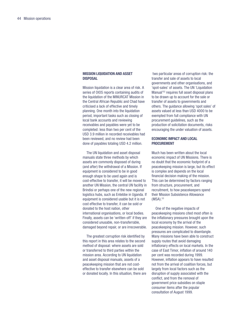#### **Mission liquidation and asset disposal**

Mission liquidation is a clear area of risk. A series of OIOS reports containing audits of the liquidation of the MINURCAT Mission in the Central African Republic and Chad have criticised a lack of effective and timely planning. One month into the liquidation period, important tasks such as closing of local bank accounts and reviewing receivables and payables were yet to be completed: less than two per cent of the USD 3.9 million in recorded receivables had been reviewed, and no review had been done of payables totaling USD 4.2 million.

The UN liquidation and asset disposal manuals state three methods by which assets are commonly disposed of during (and after) the withdrawal of a Mission. If equipment is considered to be in good enough shape to be used again and is cost-effective to transfer, it will be moved to another UN Mission, the central UN facility in Brindisi or perhaps one of the new regional logistics hubs, such as Entebbe in Uganda. If equipment is considered usable but it is not cost effective to transfer, it can be sold or donated to the host nation, other international organisations, or local bodies. Finally, assets can be 'written-off' if they are considered unusable, non-transferrable, damaged beyond repair, or are irrecoverable.

The greatest corruption risk identified by this report in this area relates to the second method of disposal: where assets are sold or transferred to third parties within the mission area. According to UN liquidation and asset disposal manuals, assets of a peacekeeping mission that are not costeffective to transfer elsewhere can be sold or donated locally. In this situation, there are

 two particular areas of corruption risk: the transfer and sale of assets to local governments and other organisations, and 'spot-sales' of assets. The UN 'Liquidation Manual<sup>'52</sup> requires full asset disposal plans to be drawn up to account for the sale or transfer of assets to governments and others. The guidance allowing 'spot sales' of assets valued at less than USD 4000 to be exempted from full compliance with UN procurement guidelines, such as the production of solicitation documents, risks encouraging the under valuation of assets.

#### **Economic Impact and local procurement**

Much has been written about the local economic impact of UN Missions. There is no doubt that the economic footprint of a peacekeeping mission is large, but its effect is complex and depends on the local financial decision making of the mission. This can be determined by factors ranging from structure, procurement, and recruitment, to how peacekeepers spend their Mission Subsistence Allowance  $(MSA).$ <sup>[53](#page-66-0)</sup>

One of the negative impacts of peacekeeping missions cited most often is the inflationary pressures brought upon the local economy by the arrival of the peacekeeping mission. However, such pressures are complicated to disentangle. Many missions have been able to construct supply routes that avoid damaging inflationary effects on local markets. In the case of East Timor, inflation of around 140 per cent was recorded during 1999. However, inflation appears to have resulted not from the arrival of coalition forces, but largely from local factors such as the disruption of supply associated with the conflict, and from the removal of government price subsidies on staple consumer items after the popular consultation of August 1999.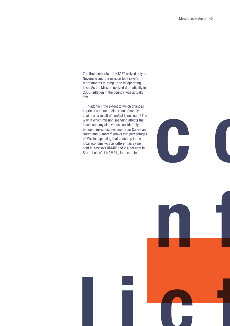The first elements of UNTAET arrived only in November and the mission took several more months to ramp up to its operating level. As the Mission upsized dramatically in 2000, inflation in the country was actually low.

In addition, the extent to which changes in prices are due to distortion of supply chains as a result of conflict is unclear.<sup>54</sup> The way in which mission spending affects the local economy also varies considerably between missions: evidence from Carnahan, Durch and Gilmore<sup>55</sup> shows that percentages of Mission spending that ended up in the local economy was as different as 27 per cent in Kosovo's UNMIK and 2.4 per cent in Sierra Leone's UNAMSIL, for example.



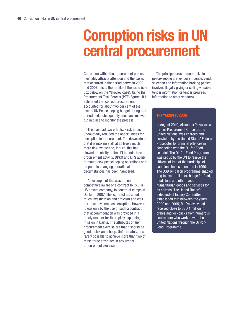## **Corruption risks in UN central procurement**

Corruption within the procurement process inevitably attracts attention and the cases that occurred in the period between 2000 and 2007 raised the profile of the issue (see box below on the Yakovlev case). Using the Procurement Task Force's (PTF) figures, it is estimated that corrupt procurement accounted for about two per cent of the overall UN Peacekeeping budget during that period and, subsequently, mechanisms were put in place to monitor the process.

This has had two effects. First, it has undoubtedly reduced the opportunities for corruption in procurement. The downside is that it is making staff at all levels much more risk-averse and, in turn, this has slowed the ability of the UN to undertake procurement activity. DPKO and DFS ability to mount new peacekeeping operations or to respond to changing operational circumstances has been hampered.

An example of this was the noncompetitive award of a contract to PAE, a US private company, to construct camps in Darfur in 2007. This contract attracted much investigation and criticism and was portrayed by some as corruption. However, it was only by the use of such a contract that accommodation was provided in a timely manner for the rapidly expanding mission in Darfur. The attributes of any procurement exercise are that it should be good, quick and cheap. Unfortunately, it is rarely possible to achieve more than two of these three attributes in any urgent procurement exercise.

The principal procurement risks in peacekeeping are vendor influence, vendor selection and information broking (which involves illegally giving or selling valuable tender information or tender progress information to other vendors).

#### **The Yakovlev Case**

In August 2010, Alexander Yakovlev, a former Procurement Officer at the United Nations, was charged and convicted by the United States' Federal Prosecutor for criminal offences in connection with the Oil-for-Food scandal. The Oil-for-Food Programme was set up by the UN to relieve the citizens of Iraq of the hardships of sanctions imposed on Iraq in 1990. The USD 64 billion programme enabled Iraq to export oil in exchange for food, medicines and other basic humanitarian goods and services for its citizens. The United Nation's Independent Inquiry Committee established that between the years 2000 and 2005, Mr. Yakovlev had received close to USD 1 million in bribes and kickbacks from numerous contractors who worked with the United Nations through the Oil-for-Food Programme.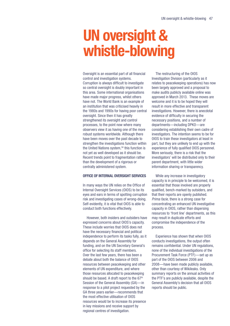## **UN oversight & whistle-blowing**

Oversight is an essential part of all financial control and investigation systems. Corruption is always difficult to investigate so central oversight is doubly important in this area. Some international organisations have made major progress, whilst others have not. The World Bank is an example of an institution that was criticised heavily in the 1980s and 1990s for having poor central oversight. Since then it has greatly strengthened its oversight and control processes, to the point now where many observers view it as having one of the more robust systems worldwide. Although there have been moves over the past decade to strengthen the investigations function within the United Nations system,<sup>56</sup> this function is not yet as well developed as it should be. Recent trends point to fragmentation rather than the development of a rigorous or centrally administered system.

#### **Office of Internal Oversight Services**

In many ways the UN relies on the Office of Internal Oversight Services (OIOS) to be its eyes and ears in terms of spotting corruption risk and investigating cases of wrong-doing. Self-evidently, it is vital that OIOS is able to conduct both functions effectively.

However, both insiders and outsiders have expressed concerns about OIOS's capacity. These include worries that OIOS does not have the necessary financial and political independence to perform its tasks fully, as it depends on the General Assembly for funding, and on the UN Secretary General's office for selecting its staff members. Over the last few years, there has been a debate about both the balance of OIOS resources between peacekeeping and other elements of UN expenditure, and where those resources allocated to peacekeeping should be based. A draft report to the  $67<sup>th</sup>$ Session of the General Assembly (GA)—in response to a pilot project requested by the GA three years earlier—recommends that the most effective utilisation of OIOS resources would be to increase its presence in key missions and receive support by regional centres of investigation.

The restructuring of the OIOS Investigation Division (particularly as it relates to peacekeeping operations) has now been largely approved and a proposal to make audits publicly available online was approved in March 2013. These moves are welcome and it is to be hoped they will result in more effective and transparent investigations. However, there is anecdotal evidence of difficulty in securing the necessary positions, and a number of departments—including DPKO—are considering establishing their own cadre of investigators. The intention seems to be for OIOS to train these investigators at least in part, but they are unlikely to end up with the experience of fully qualified OIOS personnel. More seriously, there is a risk that the investigators' will be distributed only to their parent department, with little wider information sharing or transparency.

While any increase in investigatory capacity is in principle to be welcomed, it is essential that those involved are properly qualified, bench-marked by outsiders, and that their reports are openly published. Prima facie, there is a strong case for concentrating an enhanced UN investigative capacity in OIOS, rather than dispersing resources to 'front line' departments, as this may result in duplicate efforts and compromise the independence of the process.

Experience has shown that when OIOS conducts investigations, the output often remains confidential. Under UN regulations, none of the individual investigations of the Procurement Task Force (PTF)—set up as part of the OIOS between 2006 and 2008—have been made publicly available, other than courtesy of Wikileaks. Only summary reports on the annual activities of the PTF's are publicly available, despite the General Assembly's decision that all OIOS reports should be public.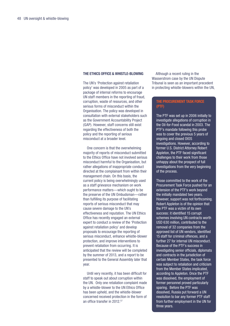#### **The Ethics Office & Whistle-blowing**

The UN's 'Protection against retaliation policy' was developed in 2005 as part of a package of internal reforms to encourage UN staff members in the reporting of fraud, corruption, waste of resources, and other serious forms of misconduct within the Organisation. The policy was developed in consultation with external stakeholders such as the Government Accountability Project (GAP). However, staff concerns still exist regarding the effectiveness of both the policy and the reporting of serious misconduct at a broader level.

One concern is that the overwhelming majority of reports of misconduct submitted to the Ethics Office have not involved serious misconduct harmful to the Organisation, but rather allegations of inappropriate conduct directed at the complainant from within their management chain. On this basis, the current policy is being overwhelmingly used as a staff grievance mechanism on work performance matters—which ought to be the preserve of the UN Ombudsman—rather than fulfilling its purpose of facilitating reports of serious misconduct that may cause severe damage to the UN's effectiveness and reputation. The UN Ethics Office has recently engaged an external expert to conduct a review of the 'Protection against retaliation policy' and develop proposals to encourage the reporting of serious misconduct, enhance whistle-blower protection, and improve interventions to prevent retaliation from occurring. It is anticipated that the review will be completed by the summer of 2013, and a report to be presented to the General Assembly later that year.

Until very recently, it has been difficult for staff to speak out about corruption within the UN. Only one retaliation complaint made by a whistle-blower to the UN Ethics Office has been upheld, and the whistle-blower concerned received protection in the form of an office transfer in 2012.[57](#page-66-4)

Although a recent ruling in the Wasserstrom case by the UN Dispute Tribunal is seen as an important precedent in protecting whistle-blowers within the UN,

#### **The procurement task force (PTF)**

The PTF was set up in 2006 initially to investigate allegations of corruption in the Oil-for-Food scandal in 2003. The PTF's mandate following this probe was to cover the previous 5 years of ongoing and closed OIOS investigations. However, according to former U.S. District Attorney Robert Appleton, the PTF faced significant challenges to their work from those unhappy about the prospect of full investigations from the very beginning of the process.

Those committed to the work of the Procurement Task Force pushed for an extension of the PTF's work beyond the initially mandated two years. However, support was not forthcoming. Robert Appleton is of the opinion that the PTF was a victim of its own success: it identified 15 corrupt schemes involving UN contracts worth USD 630 million, contributed to the removal of 32 companies from the approved list of UN vendors, identified 15 staff for criminal offences, and a further 27 for internal UN misconduct. Because of the PTF's success in investigating senior officials, diplomats and contracts in the jurisdiction of certain Member States, the task force was subject to retaliation and criticism from the Member States implicated, according to Appleton. Once the PTF was dissolved, the employment of former personnel proved particularly sparing. Before the PTF was dissolved, Russia put forward a UN resolution to bar any former PTF staff from further employment in the UN for three years.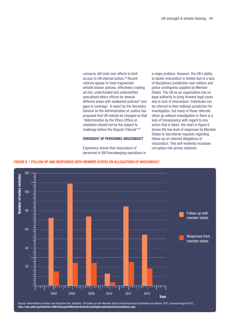concerns still exist over efforts to limit access to UN internal justice.<sup>58</sup> Recent reforms appear to have fragmented whistle-blower policies, effectively creating ad hoc, underfunded and understaffed specialised ethics offices for several different areas with weakened policies<sup>59</sup> and gaps in coverage. A report by the Secretary General on the Administration of Justice has proposed that UN statute be changed so that "determination by the Ethics Office on retaliation should not be the subject to challenge before the Dispute Tribunal".<sup>60</sup>

#### **oversight of personnel Misconduct**

Experience shows that misconduct of personnel in UN Peacekeeping operations is

a major problem. However, the UN's ability to tackle misconduct is limited due to a lack of disciplinary jurisdiction over military and police contingents supplied by Member States. The UN as an organisation has no legal authority to bring forward legal cases due to acts of misconduct. Individuals can be referred to their national jurisdiction for investigation, but many of these referrals either go without investigation or there is a lack of transparency with regard to any action that is taken: the chart in figure 6 shows the low level of responses by Member States to Secretariat requests regarding follow-up on referred allegations of misconduct. This self-evidently increases corruption risk across missions.





Source: United Nations Conduct and Discipline Unit, Statistics: UN Follow-up with Member States (Excluding Sexual Exploitation and Abuse), 2012, accessed August 2012, **http://cdu.unlb.org/Statistics/UNFollowupwithMemberStatesExcludingSexualExploitationandAbuse.aspx**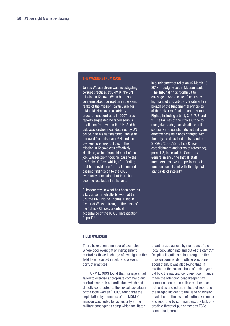#### **The WASSERSTROM CASE**

James Wasserstrom was investigating corrupt practices at UNMIK, the UN mission in Kosovo. When he raised concerns about corruption in the senior ranks of the mission, particularly for taking kickbacks on electricity procurement contracts in 2007, press reports suggested he faced serious retaliation from within the UN. And he did. Wasserstrom was detained by UN police, had his flat searched, and staff removed from his team.[65](#page-66-9) His role in overseeing energy utilities in the mission in Kosovo was effectively sidelined, which forced him out of his job. Wasserstrom took his case to the UN Ethics Office, which, after finding first hand evidence for retaliation and passing findings on to the OIOS, eventually concluded that there had been no retaliation in this case.

Subsequently, in what has been seen as a key case for whistle-blowers at the UN, the UN Dispute Tribunal ruled in favour of Wasserstrom, on the basis of the "Ethics Office's uncritical acceptance of the [OIOS] Investigation Report".<sup>66</sup>

In a judgement of relief on 15 March 15 2013,[67](#page-66-11) Judge Goolam Meeran said: 'The Tribunal finds it difficult to envisage a worse case of insensitive, highhanded and arbitrary treatment in breach of the fundamental principles of the Universal Declaration of Human Rights, including arts. 1, 3, 6, 7, 8 and 9. The failures of the Ethics Office to recognize such gross violations calls seriously into question its suitability and effectiveness as a body charged with the duty, as described in its mandate ST/SGB/2005/22 (Ethics Office, establishment and terms of reference), para. 1.2, to assist the Secretary-General in ensuring that all staff members observe and perform their functions consistent with the highest standards of integrity.'

#### **FIELD OVERSIGHT**

There have been a number of examples where poor oversight or management control by those in charge of oversight in the field have resulted in failure to prevent corrupt practices.

In UNMIL, OIOS found that managers had failed to exercise appropriate command and control over their subordinates, which had directly contributed to the sexual exploitation of the local women.<sup>[61](#page-66-8)</sup> OIOS found that the exploitation by members of the MONUC mission was 'aided by lax security at the military contingent's camp which facilitated

unauthorized access by members of the local population into and out of the camp'.62 Despite allegations being brought to the mission commander, nothing was done about them. It was also found that, in relation to the sexual abuse of a nine-yearold boy, the national contingent commander made the offending peacekeeper pay compensation to the child's mother, local authorities and others instead of reporting the alleged incident to the Head of Mission. In addition to the issue of ineffective control and reporting by commanders, the lack of a credible threat of punishment by TCCs cannot be ignored.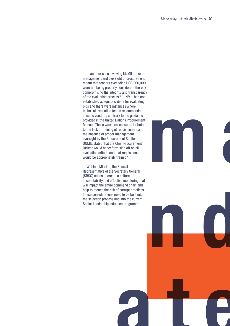In another case involving UNMIL, poor management and oversight of procurement meant that tenders exceeding USD 200,000 were not being properly considered 'thereby compromising the integrity and transparency of the evaluation process'.<sup>[62](#page-66-12)</sup> UNMIL had not established adequate criteria for evaluating bids and there were instances where technical evaluation teams recommended specific vendors, contrary to the guidance provided in the United Nations Procurement Manual. These weaknesses were attributed to the lack of training of requisitioners and the absence of proper management oversight by the Procurement Section. UNMIL stated that the Chief Procurement Officer would henceforth sign off on all evaluation criteria and that requisitioners would be appropriately trained.<sup>[64](#page-66-13)</sup>

Within a Mission, the Special Representative of the Secretary General (SRSG) needs to create a culture of accountability and effective monitoring that will impact the entire command chain and help to reduce the risk of corrupt practices. These considerations need to be built into the selection process and into the current Senior Leadership induction programme.



**n d**

**ate**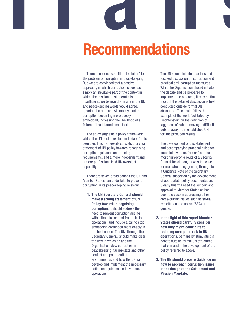# **Recommendations T ranspare**

There is no 'one-size-fits-all solution' to the problem of corruption in peacekeeping. But we are convinced that a passive approach, in which corruption is seen as simply an inevitable part of the context in which the mission must operate, is insufficient. We believe that many in the UN and peacekeeping words would agree. Ignoring the problem will merely lead to corruption becoming more deeply embedded, increasing the likelihood of a failure of the international effort.

The study suggests a policy framework which the UN could develop and adapt for its own use. This framework consists of a clear statement of UN policy towards recognising corruption, guidance and training requirements, and a more independent and a more professionalised UN oversight capability.

There are seven broad actions the UN and Member States can undertake to prevent corruption in its peacekeeping missions:

**1. The UN Secretary General should make a strong statement of UN Policy towards recognising corruption**. It should address the need to prevent corruption arising within the mission and from mission operations, and include a call to stop embedding corruption more deeply in the host nation. The UN, through the Secretary General, should make clear the way in which he and the Organisation view corruption in peacekeeping, failing-state and other conflict and post-conflict environments, and how the UN will develop and implement the necessary action and guidance in its various operations.

The UN should initiate a serious and focused discussion on corruption and practical anti-corruption measures. While the Organisation should initiate the debate and be prepared to implement the outcome, it may be that most of the detailed discussion is best conducted outside formal UN structures. This could follow the example of the work facilitated by Liechtenstein on the definition of 'aggression', where moving a difficult debate away from established UN forums produced results.

The development of this statement and accompanying practical guidance could take various forms: from the most high-profile route of a Security Council Resolution, as was the case for mainstreaming gender, through to a Guidance Note of the Secretary General supported by the development of appropriate policy documentation. Clearly this will need the support and approval of Member States as has been the case in addressing other cross-cutting issues such as sexual exploitation and abuse (SEA) or gender.

- **2. In the light of this report Member States should carefully consider how they might contribute to reducing corruption risk in UN operations**, perhaps by stimulating a debate outside formal UN structures, that can assist the development of the policy referred to above.
- **3. The UN should prepare Guidance on how to approach corruption issues in the design of the Settlement and Mission Mandate**.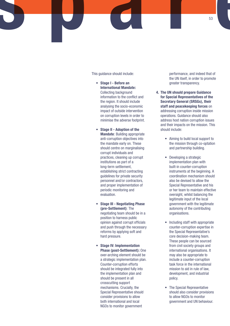This guidance should include:

- • **Stage I Before an International Mandate:** Collecting background information to the conflict and the region. It should include analysing the socio-economic impact of outside intervention on corruption levels in order to minimise the adverse footprint.
	- **Stage II Adoption of the Mandate**: Building appropriate anti-corruption objectives into the mandate early on. These should centre on marginalising corrupt individuals and practices, cleaning up corrupt institutions as part of a long-term settlement, establishing strict contracting guidelines for private security personnel and/or contractors, and proper implementation of periodic monitoring and evaluation.
- • **Stage III Negotiating Phase (pre-Settlement)**: The negotiating team should be in a position to harness public opinion against corrupt officials and push through the necessary reforms by applying soft and hard pressure.
- • **Stage IV: Implementation Phase (post-Settlement):** One over-arching element should be a strategic implementation plan. Counter-corruption efforts should be integrated fully into the implementation plan and should be present in all crosscutting support mechanisms. Crucially, the Special Representative should consider provisions to allow both international and local NGOs to monitor government

performance, and indeed that of the UN itself, in order to promote greater transparency.

- **4. The UN should prepare Guidance for Special Representatives of the Secretary General (SRSGs), their staff and peacekeeping forces** on addressing corruption inside mission operations. Guidance should also address host nation corruption issues and their impacts on the mission. This should include:
	- Aiming to build local support to the mission through co-optation and partnership building.
	- Developing a strategic implementation plan with built-in counter-corruption instruments at the beginning. A coordination mechanism should also be devised to allow the Special Representative and his or her team to maintain effective oversight, whilst balancing the legitimate input of the local government with the legitimate autonomy of the contributing organisations.
	- Including staff with appropriate counter-corruption expertise in the Special Representative's core decision-making team. These people can be sourced from civil society groups and international organisations. It may also be appropriate to include a counter-corruption task force in the international mission to aid in rule of law, development, and industrial policy.
	- The Special Representative should also consider provisions to allow NGOs to monitor government and UN behaviour.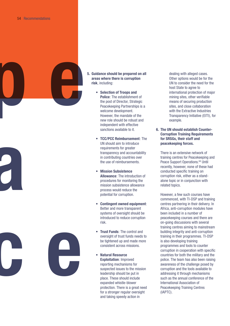**p e**

- **5. Guidance should be prepared on all areas where there is corruption risk**, including:
	- • **Selection of Troops and Police**: The establishment of the post of Director, Strategic Peacekeeping Partnerships is a welcome development. However, the mandate of the new role should be robust and independent with effective sanctions available to it.
	- • **TCC/PCC Reimbursement**: The UN should aim to introduce requirements for greater transparency and accountability in contributing countries over the use of reimbursements.
	- • **Mission Subsistence Allowance**: The introduction of procedures for monitoring the mission subsistence allowance process would reduce the potential for corruption.
	- • **Contingent owned equipment**: Better and more transparent systems of oversight should be introduced to reduce corruption risk.
	- **Trust Funds: The control and** oversight of trust funds needs to be tightened up and made more consistent across missions.
	- • **Natural Resource Exploitation**: Improved reporting mechanisms for suspected issues to the mission leadership should be put in place. These should include expanded whistle-blower protection. There is a great need for a stronger regular oversight and taking speedy action in

dealing with alleged cases. Other options would be for the UN to consider the need for the host State to agree to international protection of major mining sites, other verifiable means of securing production sites, and close collaboration with the Extractive Industries Transparency Initiative (EITI), for example.

**6. The UN should establish Counter-Corruption Training Requirements for SRSGs, their staff and peacekeeping forces.**

There is an extensive network of training centres for Peacekeeping and Peace Support Operations.<sup>68</sup> Until recently, however, none of these had conducted specific training on corruption risk, either as a standalone topic or in conjunction with related topics.

However, a few such courses have commenced, with TI-DSP and training centres partnering in their delivery. In Africa, anti-corruption modules have been included in a number of peacekeeping courses and there are on-going discussions with several training centres aiming to mainstream building integrity and anti-corruption training in their programmes. TI-DSP is also developing training programmes and tools to counter corruption in cooperation with specific countries for both the military and the police. The team has also been raising awareness of the challenge posed by corruption and the tools available to addressing it through mechanisms such as the annual conference of the International Association of Peacekeeping Training Centres (IAPTC).

**c e**

**a**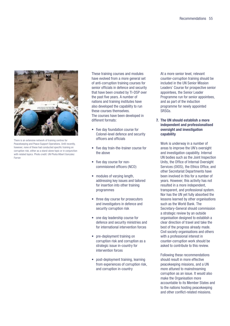

There is an extensive network of training centres for Peacekeeping and Peace Support Operations. Until recently, however, none of these had conducted specific training on corruption risk, either as a stand-alone topic or in conjunction with related topics. Photo credit: UN Photo/Albert Gonzalez Farran

These training courses and modules have evolved from a more general set of anti-corruption training courses for senior officials in defence and security that have been created by TI-DSP over the past five years. A number of nations and training institutes have also developed the capability to run these courses themselves. The courses have been developed in different formats:

- five day foundation course for Colonel-level defence and security officers and officials
- five day train-the-trainer course for the above
- five day course for noncommisioned officers (NCO)
- modules of varying length, addressing key issues and tailored for insertion into other training programmes
- three day course for prosecutors and investigators in defence and security corruption risk
- one day leadership course for defence and security ministries and for international intervention forces
- pre-deployment training on corruption risk and corruption as a strategic issue in-country for intervention forces
- post-deployment training, learning from experiences of corruption risk, and corruption in-country

At a more senior level, relevant counter-corruption training should be included in the UN Senior Mission Leaders' Course for prospective senior appointees, the Senior Leader Programme run for senior appointees, and as part of the induction programme for newly appointed SRSGs.

**7. The UN should establish a more independent and professionalised oversight and investigation capability**

Work is underway in a number of areas to improve the UN's oversight and investigation capability. Internal UN bodies such as the Joint Inspection Units, the Office of Internal Oversight Services (OIOS), the Ethics Office, and other Secretariat Departments have been involved in this for a number of years. However, this activity has not resulted in a more independent, transparent, and professional system. Nor has the UN yet fully absorbed the lessons learned by other organisations such as the World Bank. The Secretary-General should commission a strategic review by an outside organisation designed to establish a clear direction of travel and take the best of the progress already made. Civil society organisations and others with a professional interest in counter-corruption work should be asked to contribute to this review.

Following these recommendations should result in more effective peacekeeping missions, and a UN more attuned to mainstreaming corruption as an issue. It would also make the Organisation more accountable to its Member States and to the nations hosting peacekeeping and other conflict-related missions.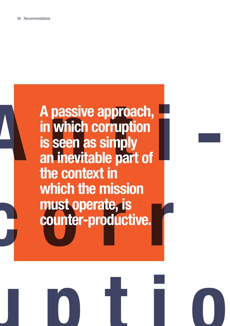

**uptio**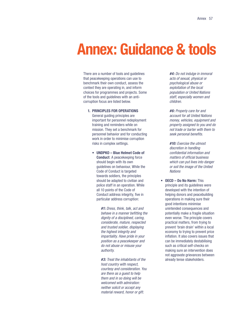## **Annex: Guidance & tools**

There are a number of tools and guidelines that peacekeeping operations can use to benchmark their own conduct, assess the context they are operating in, and inform choices for programmes and projects. Some of the tools and guidelines with an anticorruption focus are listed below.

**1. Principles for operations**

General guiding principles are important for personnel redeployment training and reminders while on mission. They set a benchmark for personnel behavior and for conducting work in order to minimise corruption risks in complex settings.

• **UNDPKO – Blue Helmet Code of Conduct**: A peacekeeping force should begin with its own guidelines on behaviour, While the Code of Conduct is targeted towards soldiers, the principles should be adapted to civilian and police staff in an operation. While all 10 points of the Code of Conduct address integrity, five in particular address corruption:

> **#1:** Dress, think, talk, act and behave in a manner befitting the dignity of a disciplined, caring, considerate, mature, respected and trusted soldier, displaying the highest integrity and impartiality. Have pride in your position as a peacekeeper and do not abuse or misuse your authority.

**#3:** Treat the inhabitants of the host country with respect, courtesy and consideration. You are there as a guest to help them and in so doing will be welcomed with admiration: neither solicit or accept any material reward, honor or gift.

**#4:** Do not indulge in immoral acts of sexual, physical or psychological abuse or exploitation of the local population or United Nations staff, especially women and children.

**#6:** Properly care for and account for all United Nations money, vehicles, equipment and property assigned to you and do not trade or barter with them to seek personal benefits.

**#10:** Exercise the utmost discretion in handling confidential information and matters of official business which can put lives into danger or soil the image of the United **Nations** 

• **OECD – Do No Harm:** This principle and its guidelines were developed with the intention of helping donors and peacebuilding operations in making sure their good intentions minimise unintended consequences and potentially make a fragile situation even worse. The principle covers practical matters, from trying to prevent 'brain drain' within a local economy to trying to prevent price inflation. It also covers issues that can be immediately destabilising such as critical self-checks on making sure an intervention does not aggravate grievances between already tense stakeholders.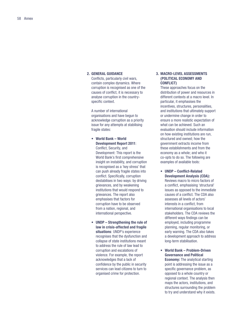#### **2. General guidance**

Conflicts, particularly civil wars, contain complex dynamics. Where corruption is recognised as one of the causes of conflict, it is necessary to analyse corruption in the countryspecific context.

A number of international organisations and have begun to acknowledge corruption as a priority issue for any attempts at stabilising fragile states:

- • **World Bank World Development Report 2011**: Conflict, Security, and Development: This report is the World Bank's first comprehensive insight on instability, and corruption is recognised as a 'key stress' that can push already fragile states into conflict. Specifically, corruption destabilises in two ways: by driving grievances, and by weakening institutions that would respond to grievances. The report also emphasises that factors for corruption have to be observed from a nation, regional, and international perspective.
- • **UNDP Strengthening the rule of law in crisis-affected and fragile situations**: UNDP's experience recognises that the dysfunction and collapse of state institutions meant to address the rule of law lead to corruption and escalations of violence. For example, the report acknowledges that a lack of confidence by the public in security services can lead citizens to turn to organised crime for protection.

#### **3. Macro-Level Assessments (political economy and conflict)**

These approaches focus on the distribution of power and resources in different contexts at a macro level. In particular, it emphasises the incentives, structures, personalities, and institutions that ultimately support or undermine change in order to ensure a more realistic expectation of what can be achieved. Such an evaluation should include information on how existing institutions are run, structured and owned; how the government extracts income from these establishments and from the economy as a whole; and who it co-opts to do so. The following are examples of available tools:

- • **UNDP Conflict-Related Development Analysis (CDA):** Reviews macro to micro factors of a conflict, emphasising 'structural' issues as opposed to the immediate causes of a conflict. The CDA also assesses all levels of actors' interests in a conflict, from international organisations to local stakeholders. The CDA reviews the different ways findings can be employed, including programme planning, regular monitoring, or early warning. The CDA also takes a development approach to address long-term stabilisation.
- • **World Bank Problem-Driven Governance and Political Economy:** The analytical starting point is addressing the issue as a specific governance problem, as opposed to a whole country or regional context. The analysis then maps the actors, institutions, and structures surrounding the problem to try and understand why it exists.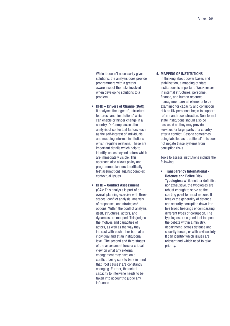While it doesn't necessarily gives solutions, the analysis does provide programmers with a greater awareness of the risks involved when developing solutions to a problem.

- • **DFID Drivers of Change (DoC)**: It analyses the 'agents', 'structural features', and 'institutions' which can enable or hinder change in a country. DoC emphasises the analysis of contextual factors such as the self-interest of individuals and mapping informal institutions which regulate relations. These are important details which help to identify issues beyond actors which are immediately visible. This approach also allows policy and programme planners to critically test assumptions against complex contextual issues.
- • **DFID Conflict Assessment (CA)**: This analysis is part of an overall planning exercise with three stages: conflict analysis, analysis of responses, and strategies/ options. Within the conflict analysis itself, structures, actors, and dynamics are mapped. This judges the motives and capacities of actors, as well as the way they interact with each other both at an individual and at an institutional level. The second and third stages of the assessment force a critical view on what any external engagement may have on a conflict, being sure to bare in mind that 'root causes' are constantly changing. Further, the actual capacity to intervene needs to be taken into account to judge any influence.

#### **4. Mapping of Institutions**

In thinking about power bases and stabilisation, a mapping of state institutions is important. Weaknesses in internal structures, personnel, finance, and human resource management are all elements to be examined for capacity and corruption risk as UN personnel begin to support reform and reconstruction. Non-formal state institutions should also be assessed as they may provide services for large parts of a country after a conflict. Despite sometimes being labelled as 'traditional', this does not negate these systems from corruption risks.

Tools to assess institutions include the following:

• **Transparency International - Defence and Police Risk Typologies:** While neither definitive nor exhaustive, the typologies are robust enough to serve as the starting point for most nations. It breaks the generality of defence and security corruption down into five broad headings encompassing different types of corruption. The typologies are a good tool to open the debate within a ministry, department, across defence and security forces, or with civil society. It can identify which issues are relevant and which need to take priority.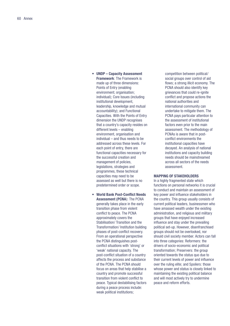- • **UNDP Capacity Assessment Framework**: The Framework is made up of three dimensions: Points of Entry (enabling environment; organisation; individual); Core Issues (including institutional development, leadership, knowledge and mutual accountability); and Functional Capacities. With the Points of Entry dimension the UNDP recognises that a country's capacity resides on different levels – enabling environment, organisation and individual – and thus needs to be addressed across these levels. For each point of entry, there are functional capacities necessary for the successful creation and management of policies, legislations, strategies and programmes, these technical capacities may need to be assessed as well but there is no predetermined order or scope.
- **World Bank Post-Conflict Needs Assessment (PCNA**): The PCNA generally takes place in the early transition phase from violent conflict to peace. The PCNA approximately covers the Stabilisation/ Transition and the Transformation/ Institution building phases of post-conflict recovery. From an operational perspective the PCNA distinguishes postconflict situations with 'strong' or 'weak' national capacity. The post-conflict situation of a country affects the process and substance of the PCNA. The PCNA should focus on areas that help stabilise a country and promote successful transition from violent conflict to peace. Typical destabilising factors during a peace process include: weak political institutions;

competition between political/ social groups over control of aid flows; a strong illicit economy. The PCNA should also identify key grievances that could re-ignite conflict and propose actions the national authorities and international community can undertake to mitigate them. The PCNA pays particular attention to the assessment of institutional factors even prior to the main assessment. The methodology of PCNAs is aware that in postconflict environments the institutional capacities have decayed. An analysis of national institutions and capacity building needs should be mainstreamed across all sectors of the needs assessment.

#### **Mapping of Stakeholders**

In a highly fragmented state which functions on personal networks it is crucial to conduct and maintain an assessment of key power and influence stakeholders in the country. This group usually consists of current political leaders, businessmen who have amassed wealth under the existing administration, and religious and military groups that have enjoyed increased influence and stay under the prevailing political set-up. However, disenfranchised groups should not be overlooked, nor should civil society member. Actors can fall into three categories: Reformers: the drivers of socio-economic and political transformation; Preservers: the group oriented towards the status quo due to their current levels of power and influence over the ruling elite; and Spoilers: those whose power and status is closely linked to maintaining the existing political balance and will most actively try to undermine peace and reform efforts.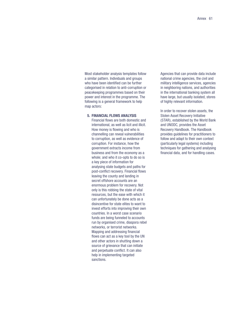Most stakeholder analysis templates follow a similar pattern. Individuals and groups who have been identified can be further categorised in relation to anti-corruption or peacekeeping programmes based on their power and interest in the programme. The following is a general framework to help map actors:

#### **5. Financial flows analysis**

Financial flows are both domestic and international, as well as licit and illicit. How money is flowing and who is channelling can reveal vulnerabilities to corruption, as well as evidence of corruption. For instance, how the government extracts income from business and from the economy as a whole; and who it co-opts to do so is a key piece of information for analysing state budgets and paths for post-conflict recovery. Financial flows leaving the county and landing in secret offshore accounts are an enormous problem for recovery. Not only is this robbing the state of vital resources, but the ease with which it can unfortunately be done acts as a disincentive for state elites to want to invest efforts into improving their own countries. In a worst case scenario funds are being funneled to accounts run by organised crime, diaspora rebel networks, or terrorist networks. Mapping and addressing financial flows can act as a key tool by the UN and other actors in shutting down a source of grievance that can initiate and perpetuate conflict. It can also help in implementing targeted sanctions.

Agencies that can provide data include national crime agencies, the civil and military intelligence services, agencies in neighboring nations, and authorities in the international banking system all have large, but usually isolated, stores of highly relevant information.

In order to recover stolen assets, the Stolen Asset Recovery Initiative (STAR), established by the World Bank and UNODC, provides the Asset Recovery Handbook. The Handbook provides guidelines for practitioners to follow and adapt to their own context (particularly legal systems) including techniques for gathering and analysing financial data, and for handling cases.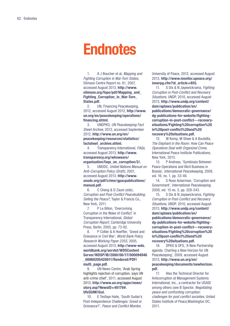### **Endnotes**

1. A J Boucher et al, Mapping and Fighting Corruption in War-Torn States, Stimson Centre Report no. 61, 2007, accessed August 2013, **[http://www.](http://www.stimson.org/fopo/pdf/Mapping_and_Fighting_Corruption_in_War-Torn_States.pdf. ) [stimson.org/fopo/pdf/Mapping\\_and\\_](http://www.stimson.org/fopo/pdf/Mapping_and_Fighting_Corruption_in_War-Torn_States.pdf. ) [Fighting\\_Corruption\\_in\\_War-Torn\\_](http://www.stimson.org/fopo/pdf/Mapping_and_Fighting_Corruption_in_War-Torn_States.pdf. ) [States.pdf.](http://www.stimson.org/fopo/pdf/Mapping_and_Fighting_Corruption_in_War-Torn_States.pdf. )**

2. UN, Financing Peacekeeping, 2012, accessed August 2012, **[http://www.](http://www.un.org/en/peacekeeping/operations/financing.shtml ) [un.org/en/peacekeeping/operations/](http://www.un.org/en/peacekeeping/operations/financing.shtml ) [financing.shtml.](http://www.un.org/en/peacekeeping/operations/financing.shtml )**

3. UNDPKO, UN Peacekeeping Fact Sheet Archive, 2012, accessed September 2012, **[http://www.un.org/en/](http://www.un.org/en/peacekeeping/resources/statistics/factsheet_archive.shtml) [peacekeeping/resources/statistics/](http://www.un.org/en/peacekeeping/resources/statistics/factsheet_archive.shtml) [factsheet\\_archive.shtml.](http://www.un.org/en/peacekeeping/resources/statistics/factsheet_archive.shtml)**

4. Transparency International, FAQs, accessed August 2013, **[http://www.](http://www.transparency.org/whoweare/organisation/faqs_on_corruption/2/) [transparency.org/whoweare/](http://www.transparency.org/whoweare/organisation/faqs_on_corruption/2/) [organisation/faqs\\_on\\_corruption/2/](http://www.transparency.org/whoweare/organisation/faqs_on_corruption/2/).**

5. UNODC, United Nations Manual on Anti-Corruption Policy (Draft), 2001, accessed August 2013, **[http://www.](http://www.unodc.org/pdf/crime/gpacpublications/manual.pdf) [unodc.org/pdf/crime/gpacpublications/](http://www.unodc.org/pdf/crime/gpacpublications/manual.pdf) [manual.pdf](http://www.unodc.org/pdf/crime/gpacpublications/manual.pdf).**

6. C Cheng & D Zaum (eds), Corruption and Post-Conflict Peacebuilding: Selling the Peace?, Taylor & Francis Co., New York, 2011.

7. P Le Billon, 'Overcoming Corruption in the Wake of Conflict' in Transparency International, Global Corruption Report, Cambridge University Press, Berlin, 2005, pp. 73-82.

8. P Collier & A Hoeffler, 'Greed and Grievance in Civil War', World Bank Policy Research Working Paper 2355, 2005, accessed August 2013, **[http://www-wds.](http://www-wds.worldbank.org/servlet/WDSContentServer/WDSP/IB/2000/06/17/000094946_00060205420011/Rendered/PDF/multi_page.pdf) [worldbank.org/servlet/WDSContent](http://www-wds.worldbank.org/servlet/WDSContentServer/WDSP/IB/2000/06/17/000094946_00060205420011/Rendered/PDF/multi_page.pdf) [Server/WDSP/IB/2000/06/17/000094946](http://www-wds.worldbank.org/servlet/WDSContentServer/WDSP/IB/2000/06/17/000094946_00060205420011/Rendered/PDF/multi_page.pdf) [\\_00060205420011/Rendered/PDF/](http://www-wds.worldbank.org/servlet/WDSContentServer/WDSP/IB/2000/06/17/000094946_00060205420011/Rendered/PDF/multi_page.pdf) [multi\\_page.pdf.](http://www-wds.worldbank.org/servlet/WDSContentServer/WDSP/IB/2000/06/17/000094946_00060205420011/Rendered/PDF/multi_page.pdf)** 

9. UN News Centre, 'Arab Spring highlights rejection of corruption, says UN anti-crime chief', 2011, accessed August 2013, **[http://www.un.org/apps/news/](http://www.un.org/apps/news/story.asp?NewsID=40179#.UfeSGNK1GuI) [story.asp?NewsID=40179#.](http://www.un.org/apps/news/story.asp?NewsID=40179#.UfeSGNK1GuI) [UfeSGNK1GuI.](http://www.un.org/apps/news/story.asp?NewsID=40179#.UfeSGNK1GuI)**

10. E Tesfaye Haile, 'South Sudan's Post-Independence Challenges: Greed or Grievance?', Peace and Conflict Monitor,

University of Peace, 2012, accessed August 2013, **[http://www.monitor.upeace.org/](http://www.monitor.upeace.org/innerpg.cfm?id_article=855) [innerpg.cfm?id\\_article=855](http://www.monitor.upeace.org/innerpg.cfm?id_article=855).**

11. S Dix & N Jayawickrama, Fighting Corruption in Post-Conflict and Recovery Situations, UNDP, 2010, accessed August 2013, **[http://www.undp.org/content/](http://www.undp.org/content/dam/aplaws/publication/en/publications/democratic-governance/dg-publications-for-website/fighting-corruption-in-post-conflict---recovery-situations/Fighting corruption in post-conflict and recovery situations.pdf) [dam/aplaws/publication/en/](http://www.undp.org/content/dam/aplaws/publication/en/publications/democratic-governance/dg-publications-for-website/fighting-corruption-in-post-conflict---recovery-situations/Fighting corruption in post-conflict and recovery situations.pdf) [publications/democratic-governance/](http://www.undp.org/content/dam/aplaws/publication/en/publications/democratic-governance/dg-publications-for-website/fighting-corruption-in-post-conflict---recovery-situations/Fighting corruption in post-conflict and recovery situations.pdf) [dg-publications-for-website/fighting](http://www.undp.org/content/dam/aplaws/publication/en/publications/democratic-governance/dg-publications-for-website/fighting-corruption-in-post-conflict---recovery-situations/Fighting corruption in post-conflict and recovery situations.pdf)[corruption-in-post-conflict---recovery](http://www.undp.org/content/dam/aplaws/publication/en/publications/democratic-governance/dg-publications-for-website/fighting-corruption-in-post-conflict---recovery-situations/Fighting corruption in post-conflict and recovery situations.pdf)[situations/Fighting%20corruption%20](http://www.undp.org/content/dam/aplaws/publication/en/publications/democratic-governance/dg-publications-for-website/fighting-corruption-in-post-conflict---recovery-situations/Fighting corruption in post-conflict and recovery situations.pdf) [in%20post-conflict%20and%20](http://www.undp.org/content/dam/aplaws/publication/en/publications/democratic-governance/dg-publications-for-website/fighting-corruption-in-post-conflict---recovery-situations/Fighting corruption in post-conflict and recovery situations.pdf) [recovery%20situations.pdf](http://www.undp.org/content/dam/aplaws/publication/en/publications/democratic-governance/dg-publications-for-website/fighting-corruption-in-post-conflict---recovery-situations/Fighting corruption in post-conflict and recovery situations.pdf).** 

12. W Kemp, M Shaw & A Boutellis, The Elephant in the Room: How Can Peace Operations Deal with Organized Crime, International Peace Institute Publications, New York, 2013.

13. P Andreas, 'Symbiosis Between Peace Operations and Illicit Business in Bosnia', International Peacekeeping, 2009, vol. 16, no. 1, pp. 33-46.

14. S Rose Ackerman, 'Corruption and Government', International Peacekeeping, 2008, vol. 15 no. 3, pp. 328-343.

15. S Dix & N Jayawickrama, Fighting Corruption in Post-Conflict and Recovery Situations, UNDP, 2010, accessed August 2013, **[http://www.undp.org/content/](http://www.undp.org/content/dam/aplaws/publication/en/publications/democratic-governance/dg-publications-for-website/fighting-corruption-in-post-conflict---recovery-situations/Fighting corruption in post-conflict and recovery situations.pdf) [dam/aplaws/publication/en/](http://www.undp.org/content/dam/aplaws/publication/en/publications/democratic-governance/dg-publications-for-website/fighting-corruption-in-post-conflict---recovery-situations/Fighting corruption in post-conflict and recovery situations.pdf) [publications/democratic-governance/](http://www.undp.org/content/dam/aplaws/publication/en/publications/democratic-governance/dg-publications-for-website/fighting-corruption-in-post-conflict---recovery-situations/Fighting corruption in post-conflict and recovery situations.pdf) [dg-publications-for-website/fighting](http://www.undp.org/content/dam/aplaws/publication/en/publications/democratic-governance/dg-publications-for-website/fighting-corruption-in-post-conflict---recovery-situations/Fighting corruption in post-conflict and recovery situations.pdf)[corruption-in-post-conflict---recovery](http://www.undp.org/content/dam/aplaws/publication/en/publications/democratic-governance/dg-publications-for-website/fighting-corruption-in-post-conflict---recovery-situations/Fighting corruption in post-conflict and recovery situations.pdf)[situations/Fighting%20corruption%20](http://www.undp.org/content/dam/aplaws/publication/en/publications/democratic-governance/dg-publications-for-website/fighting-corruption-in-post-conflict---recovery-situations/Fighting corruption in post-conflict and recovery situations.pdf) [in%20post-conflict%20and%20](http://www.undp.org/content/dam/aplaws/publication/en/publications/democratic-governance/dg-publications-for-website/fighting-corruption-in-post-conflict---recovery-situations/Fighting corruption in post-conflict and recovery situations.pdf) [recovery%20situations.pdf](http://www.undp.org/content/dam/aplaws/publication/en/publications/democratic-governance/dg-publications-for-website/fighting-corruption-in-post-conflict---recovery-situations/Fighting corruption in post-conflict and recovery situations.pdf).** 

16. DPKO & DFS, 'A New Partnership agenda: Charting a New Horizon for UN Peacekeeping', 2009, accessed August 2013, **[http://www.un.org/en/](http://www.un.org/en/peacekeeping/documents/newhorizon.pdf) [peacekeeping/documents/newhorizon.](http://www.un.org/en/peacekeeping/documents/newhorizon.pdf) [pdf.](http://www.un.org/en/peacekeeping/documents/newhorizon.pdf)**

17. Also the Technical Director for Anticorruption at Management Systems International, Inc., a contractor for USAID among others (see B Spector, Negotiating peace and confronting corruption: challenges for post conflict societies, United States Institute of Peace,Washington DC, 2011.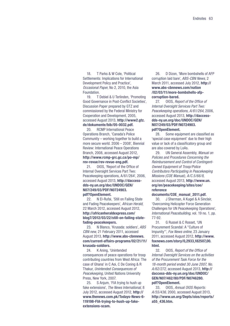18. T Parks & W Cole, 'Political Settlements: Implications for International Development Policy and Practice', Occasional Paper, No 2, 2010, the Asia **Foundation** 

19. T Debiel & U Terlinden, 'Promoting Good Governance in Post-Conflict Societies', Discussion Paper prepared by GTZ and commissioned by the Federal Ministry for Cooperation and Development, 2005, accessed August 2013, **[http://www2.gtz.](http://www2.gtz.de/dokumente/bib/05-0032.pdf) [de/dokumente/bib/05-0032.pdf](http://www2.gtz.de/dokumente/bib/05-0032.pdf).** 

20. RCMP International Peace Operations Branch, 'Canada's Police Community – working together to build a more secure world. 2006 – 2008', Biennial Review: International Peace Operations Branch, 2008, accessed August 2012, **[http://www.rcmp-grc.gc.ca/po-mp/](http://www.rcmp-grc.gc.ca/po-mp/rev-revue/rev-revue-eng.pdf) [rev-revue/rev-revue-eng.pdf.](http://www.rcmp-grc.gc.ca/po-mp/rev-revue/rev-revue-eng.pdf)**

<span id="page-64-0"></span>21. OIOS, 'Report of the Office of Internal Oversight Services Part Two: Peacekeeping operations, A/61/264', 2006, accessed August 2013, **[http://daccess](http://daccess-dds-ny.un.org/doc/UNDOC/GEN/N07/249/03/PDF/N0724903.pdf?OpenElement)[dds-ny.un.org/doc/UNDOC/GEN/](http://daccess-dds-ny.un.org/doc/UNDOC/GEN/N07/249/03/PDF/N0724903.pdf?OpenElement) [N07/249/03/PDF/N0724903.](http://daccess-dds-ny.un.org/doc/UNDOC/GEN/N07/249/03/PDF/N0724903.pdf?OpenElement) [pdf?OpenElement](http://daccess-dds-ny.un.org/doc/UNDOC/GEN/N07/249/03/PDF/N0724903.pdf?OpenElement).**

<span id="page-64-1"></span>22. N El-Rufai, 'Still on Failing State and Fading Peacekeepers', African Herald, 22 March 2012, accessed August 2012, **[http://africanheraldexpress.com/](http://http://africanheraldexpress.com/blog7/2012/03/22/still-on-failing-state-fading-peacekeepers) [blog7/2012/03/22/still-on-failing-state](http://http://africanheraldexpress.com/blog7/2012/03/22/still-on-failing-state-fading-peacekeepers)[fading-peacekeepers](http://http://africanheraldexpress.com/blog7/2012/03/22/still-on-failing-state-fading-peacekeepers).**

<span id="page-64-2"></span>23. N Blanco, 'Krusada: soldiers', ABS CBN new, 21 February 2011, accessed August 2013, **[http://www.abs-cbnnews.](http://www.abs-cbnnews.com/current-affairs-programs/02/21/11/krusada-soldiers ) [com/current-affairs-programs/02/21/11/](http://www.abs-cbnnews.com/current-affairs-programs/02/21/11/krusada-soldiers ) [krusada-soldiers.](http://www.abs-cbnnews.com/current-affairs-programs/02/21/11/krusada-soldiers )**

<span id="page-64-3"></span>24. K Aning, 'Unintended consequences of peace operations for troop contributing countries from West Africa: The case of Ghana' in C Aoi, C De Coning & R Thakur, Unintended Consequences of Peacekeeping, United Nations University Press, New York, 2007.

<span id="page-64-4"></span>25. S Anjum, 'FIA trying to hush up fake extensions', The News International, 8 July 2012, accessed August 2012, **[http://](http://www.thenews.com.pk/todays-news-6-119198-fia-trying-to-hush-up-fake-extensions-scam) [www.thenews.com.pk/Todays-News-6-](http://www.thenews.com.pk/todays-news-6-119198-fia-trying-to-hush-up-fake-extensions-scam) [119198-FIA-trying-to-hush-up-fake](http://www.thenews.com.pk/todays-news-6-119198-fia-trying-to-hush-up-fake-extensions-scam)[extensions-scam.](http://www.thenews.com.pk/todays-news-6-119198-fia-trying-to-hush-up-fake-extensions-scam)**

<span id="page-64-5"></span>26. D Dizon, 'More bombshells of AFP corruption laid bare', ABS-CBN News, 2 March 2011, accessed July 2012, **[http://](http://www.abs-cbnnews.com/nation/02/03/11/more-bombshells-afp-corruption-bared) [www.abs-cbnnews.com/nation](http://www.abs-cbnnews.com/nation/02/03/11/more-bombshells-afp-corruption-bared) [/02/03/11/more-bombshells-afp](http://www.abs-cbnnews.com/nation/02/03/11/more-bombshells-afp-corruption-bared)[corruption-bared.](http://www.abs-cbnnews.com/nation/02/03/11/more-bombshells-afp-corruption-bared)**

<span id="page-64-6"></span>27. OIOS, Report of the Office of Internal Oversight Services Part Two: Peacekeeping operations, A/61/264, 2006, accessed August 2013, **[http://daccess](http://daccess-dds-ny.un.org/doc/UNDOC/GEN/N07/249/03/PDF/N0724903.pdf?OpenElement)[dds-ny.un.org/doc/UNDOC/GEN/](http://daccess-dds-ny.un.org/doc/UNDOC/GEN/N07/249/03/PDF/N0724903.pdf?OpenElement) [N07/249/03/PDF/N0724903.](http://daccess-dds-ny.un.org/doc/UNDOC/GEN/N07/249/03/PDF/N0724903.pdf?OpenElement) [pdf?OpenElement.](http://daccess-dds-ny.un.org/doc/UNDOC/GEN/N07/249/03/PDF/N0724903.pdf?OpenElement)** 

<span id="page-64-7"></span>28. Some equipment are classified as 'special case equipment' due to their high value or lack of a classificatory group and are also covered by LoAs.

<span id="page-64-8"></span>29. UN General Assembly, Manual on Policies and Procedures Concerning the Reimbursement and Control of Contingent-Owned Equipment of Troop/Police Contributors Participating in Peacekeeping Missions (COE Manual), A/C.5/66/8, accessed August 2013, **[http://www.un.](http://www.un.org/en/peacekeeping/sites/coe/referencedocuments/COE_manual_2011.pdf) [org/en/peacekeeping/sites/coe/](http://www.un.org/en/peacekeeping/sites/coe/referencedocuments/COE_manual_2011.pdf) [reference](http://www.un.org/en/peacekeeping/sites/coe/referencedocuments/COE_manual_2011.pdf)**

#### **[documents/COE\\_manual\\_2011.pdf.](http://www.un.org/en/peacekeeping/sites/coe/referencedocuments/COE_manual_2011.pdf)**

<span id="page-64-9"></span>30. J Sherman, A Kugel & A Sinclair, 'Overcoming Helicopter Force Generation Challenges for UN Peacekeeping Operations', International Peacebuilding, vol. 19 no. 1, pp. 77-92.

<span id="page-64-10"></span>31. G Russel & C Rosset, 'UN Procurement Scandal: A "Culture of Impunity"', Fox News online, 23 January 2011, accessed August 2012, **[http://www.](http://www.foxnews.com/story/0,2933,182507,00.html) [foxnews.com/story/0,2933,182507,00.](http://www.foxnews.com/story/0,2933,182507,00.html) [html](http://www.foxnews.com/story/0,2933,182507,00.html).**

<span id="page-64-11"></span>32. OIOS, Report of the Office of Internal Oversight Services on the activities of the Procurement Task Force for the 18-month period ended 30 June 2007, No. A/62/272, accessed August 2013, **[http://](http://daccess-dds-ny.un.org/doc/UNDOC/GEN/N07/462/80/PDF/N0746280.pdf?OpenElement) [daccess-dds-ny.un.org/doc/UNDOC/](http://daccess-dds-ny.un.org/doc/UNDOC/GEN/N07/462/80/PDF/N0746280.pdf?OpenElement) [GEN/N07/462/80/PDF/N0746280.](http://daccess-dds-ny.un.org/doc/UNDOC/GEN/N07/462/80/PDF/N0746280.pdf?OpenElement) [pdf?OpenElement.](http://daccess-dds-ny.un.org/doc/UNDOC/GEN/N07/462/80/PDF/N0746280.pdf?OpenElement)**

<span id="page-64-12"></span>33. OIOS, Annual OIOS Reports: A/55/436, 2000, accessed August 2013, **[http://www.un.org/Depts/oios/reports/](http://www.un.org/Depts/oios/reports/a55_436.htm) [a55\\_436.htm](http://www.un.org/Depts/oios/reports/a55_436.htm).**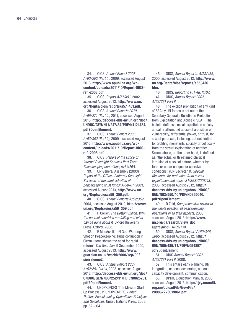<span id="page-65-0"></span>34. OIOS, Annual Report 2008 A/63/302 (Part II), 2009, accessed August 2013, **[http://www.apublica.org/wp](http://)[content/uploads/2011/10/Report-OIOS](http://)[ref.-2008.pdf.](http://)**

<span id="page-65-1"></span>35. OIOS, Report A/57/451, 2002, accessed August 2013, **[http://www.un.](http://www.un.org/Depts/oios/reports/a57_451.pdf) [org/Depts/oios/reports/a57\\_451.pdf.](http://www.un.org/Depts/oios/reports/a57_451.pdf)** 

<span id="page-65-2"></span>36. OIOS, Annual Reports 2010 A/65/271 (Part II), 2011, accessed August 2013, **[http://daccess-dds-ny.un.org/doc/](http://daccess-dds-ny.un.org/doc/UNDOC/GEN/N11/247/84/PDF/N1124784.pdf?OpenElement) [UNDOC/GEN/N11/247/84/PDF/N1124784.](http://daccess-dds-ny.un.org/doc/UNDOC/GEN/N11/247/84/PDF/N1124784.pdf?OpenElement) [pdf?OpenElement](http://daccess-dds-ny.un.org/doc/UNDOC/GEN/N11/247/84/PDF/N1124784.pdf?OpenElement).**

<span id="page-65-3"></span>37. OIOS, Annual Report 2008 A/63/302 (Part II), 2009, accessed August 2013, **[http://www.apublica.org/wp](http://www.apublica.org/wp-content/uploads/2011/10/Report-OIOS-ref.-2008.pdf)[content/uploads/2011/10/Report-OIOS](http://www.apublica.org/wp-content/uploads/2011/10/Report-OIOS-ref.-2008.pdf)[ref.-2008.pdf.](http://www.apublica.org/wp-content/uploads/2011/10/Report-OIOS-ref.-2008.pdf)**

38. OIOS, Report of the Office of Internal Oversight Services Part Two: Peacekeeping operations, A/61/264.

<span id="page-65-4"></span>39. UN General Assembly (2003) Report of the Office of Internal Oversight Services on the administration of peacekeeping trust funds: A/58/61, 2003, accessed August 2013, **[http://www.un.](http://www.un.org/Depts/oios/a59_359.pdf) [org/Depts/oios/a59\\_359.pdf.](http://www.un.org/Depts/oios/a59_359.pdf)**

<span id="page-65-5"></span>40. OIOS, Annual Reports A/59/359, 2004, accessed August 2012, **[http://www.](http://www.un.org/Depts/oios/a59_359.pdf) [un.org/Depts/oios/a59\\_359.pdf](http://www.un.org/Depts/oios/a59_359.pdf).**

<span id="page-65-6"></span>41. P Collier, The Bottom Billion: Why the poorest countries are failing and what can be done about it, Oxford University Press, Oxford, 2008.

<span id="page-65-7"></span>42. E MacAskill, 'UN Gets Warning Shot on Peacekeeping: Huge corruption in Sierra Leone shows the need for rapid reform', The Guardian, 9 September 2000, accessed August 2013, **[http://www.](http://www.guardian.co.uk/world/2000/sep/09/sierraleone2) [guardian.co.uk/world/2000/sep/09/](http://www.guardian.co.uk/world/2000/sep/09/sierraleone2) [sierraleone2](http://www.guardian.co.uk/world/2000/sep/09/sierraleone2).**

<span id="page-65-8"></span>43. OIOS, Annual Report 2007 A/62/281 Part II, 2008, accessed August 2012, **[http://daccess-dds-ny.un.org/doc/](http://daccess-dds-ny.un.org/doc/UNDOC/GEN/N08/252/31/PDF/N0825231.pdf?OpenElement ) [UNDOC/GEN/N08/252/31/PDF/N0825231.](http://daccess-dds-ny.un.org/doc/UNDOC/GEN/N08/252/31/PDF/N0825231.pdf?OpenElement ) [pdf?OpenElement.](http://daccess-dds-ny.un.org/doc/UNDOC/GEN/N08/252/31/PDF/N0825231.pdf?OpenElement )**

<span id="page-65-9"></span>44. UNDPKO/DFS 'The Mission Start Up Process', in UNDPKO/DFS, United Nations Peacekeeping Operations: Principles and Guidelines, United Nations Press, 2008, pp. 62 – 64.

<span id="page-65-10"></span>45. OIOS, Annual Reports: A/55/436, 2000, accessed August 2012, **[http://www.](http://www.un.org/Depts/oios/reports/a55_436.htm) [un.org/Depts/oios/reports/a55\\_436.](http://www.un.org/Depts/oios/reports/a55_436.htm) [htm.](http://www.un.org/Depts/oios/reports/a55_436.htm)**

<span id="page-65-12"></span><span id="page-65-11"></span>46. OIOS, Report no PTF-RO11/07. 47. OIOS, Annual Report 2007 A/62/281 Part II.

<span id="page-65-13"></span>48. The explicit prohibition of any kind of SEA by UN forces is set out in the Secretary General's Bulletin on Protection from Exploitation and Abuse (PSEA). The bulletin defines sexual exploitation as 'any actual or attempted abuse of a position of vulnerability, differential power, or trust, for sexual purposes, including, but not limited to, profiting monetarily, socially or politically from the sexual exploitation of another.' Sexual abuse, on the other hand, is defined as, 'the actual or threatened physical intrusion of a sexual nature, whether by force or under unequal or coercive conditions.' (UN Secretariat, Special Measures for protection from sexual exploitation and abuse ST/SGB/2003/13, 2003, accessed August 2012, **[http://](http://daccess-dds-ny.un.org/doc/UNDOC/GEN/N03/550/40/PDF/N0355040.pdf?OpenElement) [daccess-dds-ny.un.org/doc/UNDOC/](http://daccess-dds-ny.un.org/doc/UNDOC/GEN/N03/550/40/PDF/N0355040.pdf?OpenElement) [GEN/N03/550/40/PDF/N0355040.](http://daccess-dds-ny.un.org/doc/UNDOC/GEN/N03/550/40/PDF/N0355040.pdf?OpenElement) [pdf?OpenElement](http://daccess-dds-ny.un.org/doc/UNDOC/GEN/N03/550/40/PDF/N0355040.pdf?OpenElement)**.)

<span id="page-65-14"></span>49. R Zeid, Comprehensive review of the whole question of peacekeeping operations in all their aspects, 2005, accessed August 2013, **[http://www.](http://www.un.org/ga/search/view_doc.asp?symbol=A/59/710 ) [un.org/ga/search/view\\_doc.](http://www.un.org/ga/search/view_doc.asp?symbol=A/59/710 )**  $asp?$ symbol= $A/59/710$ .

<span id="page-65-15"></span>50. OIOS, Annual Report A/60/346, 2005, accessed August 2012, **[http://](http://daccess-dds-ny.un.org/doc/UNDOC/GEN/N05/485/71/PDF/N0548571.pdf?OpenElement ) [daccess-dds-ny.un.org/doc/UNDOC/](http://daccess-dds-ny.un.org/doc/UNDOC/GEN/N05/485/71/PDF/N0548571.pdf?OpenElement ) [GEN/N05/485/71/PDF/N0548571.](http://daccess-dds-ny.un.org/doc/UNDOC/GEN/N05/485/71/PDF/N0548571.pdf?OpenElement )** [pdf?OpenElement.](http://daccess-dds-ny.un.org/doc/UNDOC/GEN/N05/485/71/PDF/N0548571.pdf?OpenElement )

<span id="page-65-16"></span>51. OIOS Annual Report 2007 A/62/281 Part II, 2008.

<span id="page-65-17"></span>52. This entails early planning, UN integration, national ownership, national capacity development, communication.

<span id="page-65-18"></span>53. DPKO, Liquidation Manual, 2003, accessed August 2013, **[http://sjry.unaudit.](http://sjry.unaudit.org.cn/UploadFile/NewFile/200862223019861.pdf) [org.cn/UploadFile/NewFile/](http://sjry.unaudit.org.cn/UploadFile/NewFile/200862223019861.pdf) [200862223019861.pdf.](http://sjry.unaudit.org.cn/UploadFile/NewFile/200862223019861.pdf)**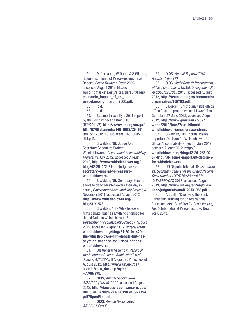<span id="page-66-0"></span>54. M Carnahan, W Durch & S Gilmore, 'Economic Impact of Peacekeeping: Final Report', Peace Dividend Trust, 2006, accessed August 2012, **[http://](http://buildingmarkets.org/sites/default/files/economic_impact_of_un_peacekeeping_march_2006.pdf) [buildingmarkets.org/sites/default/files/](http://buildingmarkets.org/sites/default/files/economic_impact_of_un_peacekeeping_march_2006.pdf) [economic\\_impact\\_of\\_un\\_](http://buildingmarkets.org/sites/default/files/economic_impact_of_un_peacekeeping_march_2006.pdf) [peacekeeping\\_march\\_2006.pdf](http://buildingmarkets.org/sites/default/files/economic_impact_of_un_peacekeeping_march_2006.pdf).**

<span id="page-66-1"></span>55. ibid.

<span id="page-66-3"></span><span id="page-66-2"></span>56. ibid.

57. See most recently a 2011 report by the Joint Inspection Unit (JIU/ REP/2011/7), **[http://www.un.org/en/ga/](http://www.un.org/en/ga/fifth/67/Statements/140_OIOS/C5_67_0m_ST_2012_10_08_Item_140_OIOS_JIU.pdf) [fifth/67/Statements/140\\_OIOS/C5\\_67\\_](http://www.un.org/en/ga/fifth/67/Statements/140_OIOS/C5_67_0m_ST_2012_10_08_Item_140_OIOS_JIU.pdf) [0m\\_ST\\_2012\\_10\\_08\\_Item\\_140\\_OIOS\\_](http://www.un.org/en/ga/fifth/67/Statements/140_OIOS/C5_67_0m_ST_2012_10_08_Item_140_OIOS_JIU.pdf) [JIU.pdf.](http://www.un.org/en/ga/fifth/67/Statements/140_OIOS/C5_67_0m_ST_2012_10_08_Item_140_OIOS_JIU.pdf)**

<span id="page-66-4"></span>58. S Walden, 'UN Judge Ask Secretary General to Protect Whistleblowers', Government Accountability Project, 19 July 2012, accessed August 2012, **[http://www.whistleblower.org/](http://www.whistleblower.org/blog/42-2012/2121-un-judge-asks-secretary-general-to-reassure-whistleblowers-) [blog/42-2012/2121-un-judge-asks](http://www.whistleblower.org/blog/42-2012/2121-un-judge-asks-secretary-general-to-reassure-whistleblowers-)[secretary-general-to-reassure](http://www.whistleblower.org/blog/42-2012/2121-un-judge-asks-secretary-general-to-reassure-whistleblowers-)[whistleblowers](http://www.whistleblower.org/blog/42-2012/2121-un-judge-asks-secretary-general-to-reassure-whistleblowers-).**

<span id="page-66-5"></span>59. S Walden, 'UN Secretary-General seeks to deny whistleblowers their day in court', Government Accountability Project, 4 November 2011, accessed August 2012, **[http://www.whistleblower.org/](http://www.whistleblower.org/blog/31/1578) [blog/31/1578.](http://www.whistleblower.org/blog/31/1578)**

<span id="page-66-6"></span>60. S Walden, 'The Whistleblower' films debuts, but has anything changed for United Nations Whistleblowers?' Government Accountability Project, 4 August 2012, accessed August 2012, **[http://www.](http://www.whistleblower.org/blog/31-2010/1420-the-whistleblower-film-debuts-but-has-anything-changed-for-united-nations-whistleblowers) [whistleblower.org/blog/31-2010/1420](http://www.whistleblower.org/blog/31-2010/1420-the-whistleblower-film-debuts-but-has-anything-changed-for-united-nations-whistleblowers) [the-whistleblower-film-debuts-but-has](http://www.whistleblower.org/blog/31-2010/1420-the-whistleblower-film-debuts-but-has-anything-changed-for-united-nations-whistleblowers)[anything-changed-for-united-nations](http://www.whistleblower.org/blog/31-2010/1420-the-whistleblower-film-debuts-but-has-anything-changed-for-united-nations-whistleblowers)[whistleblowers](http://www.whistleblower.org/blog/31-2010/1420-the-whistleblower-film-debuts-but-has-anything-changed-for-united-nations-whistleblowers).**

<span id="page-66-7"></span>61. UN General Assembly, Report of the Secretary General: Administration of Justice. A/66/275, 8 August 2011, accessed August 2012, **[http://www.un.org/ga/](http://www.un.org/ga/search/view_doc.asp?symbol=a/66/275) [search/view\\_doc.asp?symbol](http://www.un.org/ga/search/view_doc.asp?symbol=a/66/275) [=A/66/275](http://www.un.org/ga/search/view_doc.asp?symbol=a/66/275).**

<span id="page-66-8"></span>62. OIOS, Annual Report 2008 A/63/302 (Part II), 2009, accessed August 2012, **[http://daccess-dds-ny.un.org/doc/](http://daccess-dds-ny.un.org/doc/UNDOC/GEN/N09/247/54/PDF/N0924754.pdf?OpenElement ) [UNDOC/GEN/N09/247/54/PDF/N0924754.](http://daccess-dds-ny.un.org/doc/UNDOC/GEN/N09/247/54/PDF/N0924754.pdf?OpenElement ) [pdf?OpenElement](http://daccess-dds-ny.un.org/doc/UNDOC/GEN/N09/247/54/PDF/N0924754.pdf?OpenElement ).**

<span id="page-66-12"></span>63. OIOS, Annual Report 2007 A/62/281 Part II.

64. OIOS, Annual Reports 2010 A/65/271 (Part II).

<span id="page-66-13"></span>65. OIOS, Audit Report: Procurement of local contracts in UNMIL (Assignment No: AP2010/626/01), 2010, accessed August 2012, **[http://usun.state.gov/documents/](http://usun.state.gov/documents/organization/159763.pdf) [organization/159763.pdf](http://usun.state.gov/documents/organization/159763.pdf)**.

<span id="page-66-9"></span>66. L Borger, 'UN tribunal finds ethics office failed to protect whistleblower', The Guardian, 27 June 2012, accessed August 2012, **[http://www.guardian.co.uk/](http://www.guardian.co.uk/world/2012/jun/27/un-tribunal-whistleblower-james-wasserstrom) [world/2012/jun/27/un-tribunal](http://www.guardian.co.uk/world/2012/jun/27/un-tribunal-whistleblower-james-wasserstrom)[whistleblower-james-wasserstrom.](http://www.guardian.co.uk/world/2012/jun/27/un-tribunal-whistleblower-james-wasserstrom)**

<span id="page-66-10"></span>67. S Walden, 'UN Tribunal Issues Important Decision for Whistleblowers', Global Accountability Project, 6 July 2012, accesed August 2012, **[http://](http://whistleblower.org/blog/42-2012/2102-un-tribunal-issues-important-decision-for-whistleblowers) [whistleblower.org/blog/42-2012/2102](http://whistleblower.org/blog/42-2012/2102-un-tribunal-issues-important-decision-for-whistleblowers) [un-tribunal-issues-important-decision](http://whistleblower.org/blog/42-2012/2102-un-tribunal-issues-important-decision-for-whistleblowers)[for-whistleblowers](http://whistleblower.org/blog/42-2012/2102-un-tribunal-issues-important-decision-for-whistleblowers).**

<span id="page-66-11"></span>68. UN Dispute Tribunal, Wasserstrom vs. Secretary general of the United Nations Case Number UNDT/NY/2009/044/ JAB/2008/087, 2013, accessed August 2013, **[http://www.un.org/en/oaj/files/](http://www.un.org/en/oaj/files/undt/judgments/undt-2013-053.pdf) [undt/judgments/undt-2013-053.pdf](http://www.un.org/en/oaj/files/undt/judgments/undt-2013-053.pdf).**

<span id="page-66-14"></span>69. A Cutillo, 'Deploying the Best: Enhancing Training for United Nations Peacekeepers', Providing for Peacekeeping No. 5, International Peace Institute, New York, 2013.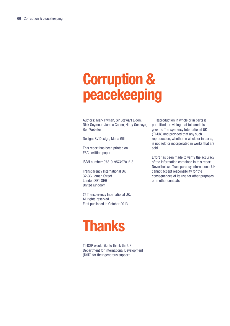## **Corruption & peacekeeping**

Authors: Mark Pyman, Sir Stewart Eldon, Nick Seymour, James Cohen, Hiruy Gossaye, Ben Webster

Design: SVIDesign, Maria Gili

This report has been printed on FSC certified paper.

ISBN number: 978-0-9574970-2-3

Transparency International UK 32-36 Loman Street London SE1 OEH United Kingdom

© Transparency International UK. All rights reserved. First published in October 2013.

## **Thanks**

TI-DSP would like to thank the UK Department for International Development (DfID) for their generous support.

Reproduction in whole or in parts is permitted, providing that full credit is given to Transparency International UK (TI-UK) and provided that any such reproduction, whether in whole or in parts, is not sold or incorporated in works that are sold.

Effort has been made to verify the accuracy of the information contained in this report. Nevertheless, Transparency International UK cannot accept responsibility for the consequences of its use for other purposes or in other contexts.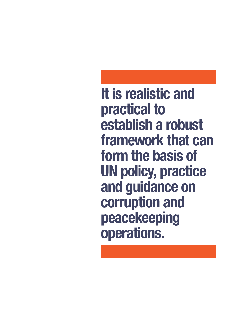**It is realistic and practical to establish a robust framework that can form the basis of UN policy, practice and guidance on corruption and peacekeeping operations.**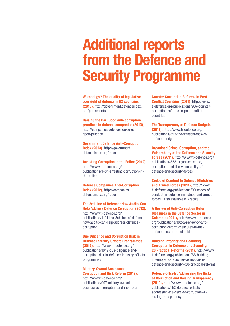## **Additional reports from the Defence and Security Programme**

**Watchdogs? The quality of legislative oversight of defence in 82 countries (2013),** http://government.defenceindex. org/parliaments

**Raising the Bar: Good anti-corruption practices in defence companies (2013)**, http://companies.defenceindex.org/ good-practice

**Government Defence Anti-Corruption Index (2013)**, http://government. defenceindex.org/report

**Arresting Corruption in the Police (2012),**  http://www.ti-defence.org/ publications/1431-arresting-corruption-inthe-police

**Defence Companies Anti-Corruption Index (2012),** http://companies. defenceindex.org/report

**The 3rd Line of Defence: How Audits Can Help Address Defence Corruption (2012),**  http://www.ti-defence.org/ publications/1121-the-3rd-line-of-defence- how-audits-can-help-address-defencecorruption

#### **Due Diligence and Corruption Risk in Defence Industry Offsets Programmes (2012),** http://www.ti-defence.org/

publications/1019-due-diligence-andcorruption-risk-in-defence-industry-offsetsprogrammes

#### **Military-Owned Businesses: Corruption and Risk Reform (2012),**  http://www.ti-defence.org/

publications/997-military-ownedbusinesses--corruption-and-risk-reform **Counter Corruption Reforms in Post-Conflict Countries (2011),** http://www. ti-defence.org/publications/907-countercorruption-reforms-in-post-conflictcountries

**The Transparency of Defence Budgets (2011),** http://www.ti-defence.org/ publications/893-the-transparency-ofdefence-budgets

**Organised Crime, Corruption, and the Vulnerability of the Defence and Security Forces (2011),** http://www.ti-defence.org/ publications/858-organised-crime, corruption,-and-the-vulnerability-ofdefence-and-security-forces

**Codes of Conduct in Defence Ministries and Armed Forces (2011),** http://www. ti-defence.org/publications/90-codes-ofconduct-in-defence-ministries-and-armedforces [Also available in Arabic]

**A Review of Anti-Corruption Reform Measures in the Defence Sector in Colombia (2011),** http://www.ti-defence. org/publications/102-a-review-of-anticorruption-reform-measures-in-thedefence-sector-in-colombia

#### **Building Integrity and Reducing Corruption in Defence and Security: 20 Practical Reforms (2011),** http://www. ti-defence.org/publications/88-building-

integrity-and-reducing-corruption-indefence-and-security--20-practical-reforms

**Defence Offsets: Addressing the Risks of Corruption and Raising Transparency (2010),** http://www.ti-defence.org/ publications/153-defence-offsets--

addressing-the-risks-of-corruption-& raising-transparency